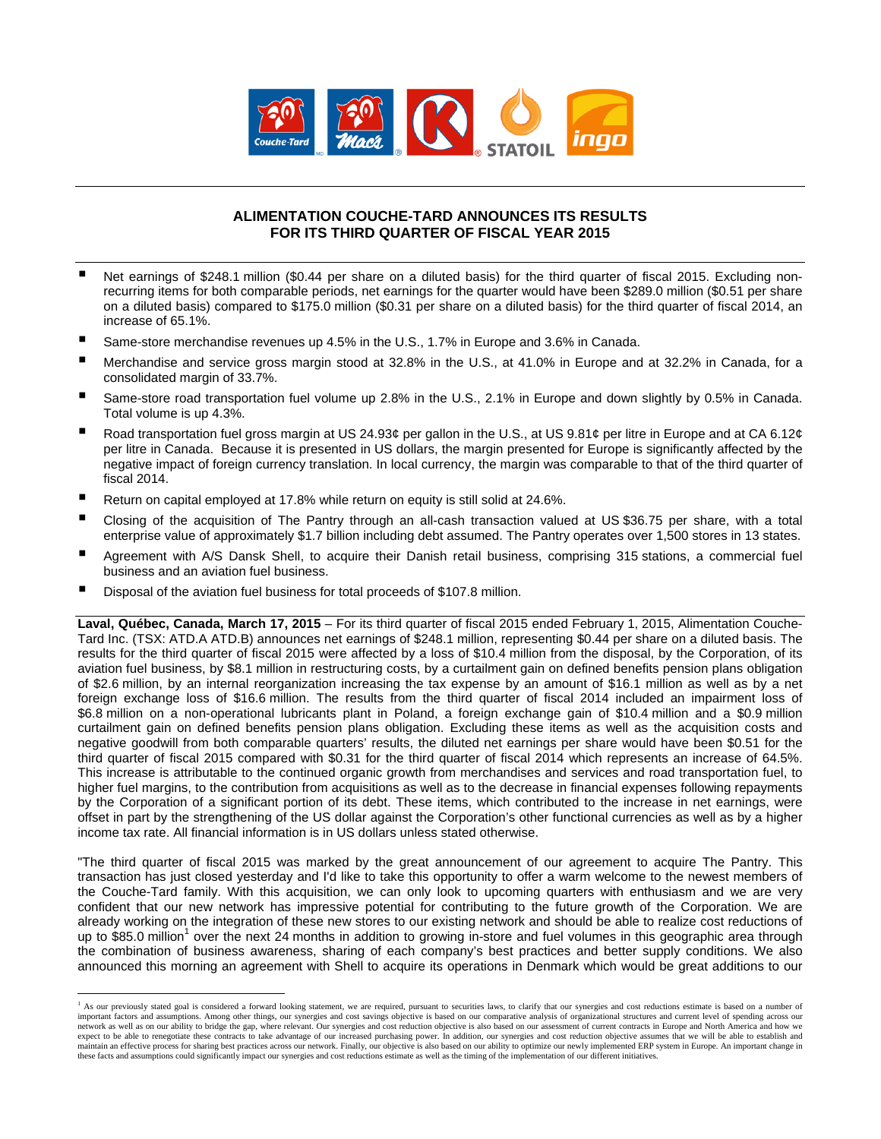

### **ALIMENTATION COUCHE-TARD ANNOUNCES ITS RESULTS FOR ITS THIRD QUARTER OF FISCAL YEAR 2015**

- Net earnings of \$248.1 million (\$0.44 per share on a diluted basis) for the third quarter of fiscal 2015. Excluding nonrecurring items for both comparable periods, net earnings for the quarter would have been \$289.0 million (\$0.51 per share on a diluted basis) compared to \$175.0 million (\$0.31 per share on a diluted basis) for the third quarter of fiscal 2014, an increase of 65.1%.
- Same-store merchandise revenues up 4.5% in the U.S., 1.7% in Europe and 3.6% in Canada.
- Merchandise and service gross margin stood at 32.8% in the U.S., at 41.0% in Europe and at 32.2% in Canada, for a consolidated margin of 33.7%.
- Same-store road transportation fuel volume up 2.8% in the U.S., 2.1% in Europe and down slightly by 0.5% in Canada. Total volume is up 4.3%.
- Road transportation fuel gross margin at US 24.93¢ per gallon in the U.S., at US 9.81¢ per litre in Europe and at CA 6.12¢ per litre in Canada. Because it is presented in US dollars, the margin presented for Europe is significantly affected by the negative impact of foreign currency translation. In local currency, the margin was comparable to that of the third quarter of fiscal 2014.
- Return on capital employed at 17.8% while return on equity is still solid at 24.6%.
- Closing of the acquisition of The Pantry through an all-cash transaction valued at US \$36.75 per share, with a total enterprise value of approximately \$1.7 billion including debt assumed. The Pantry operates over 1,500 stores in 13 states.
- Agreement with A/S Dansk Shell, to acquire their Danish retail business, comprising 315 stations, a commercial fuel business and an aviation fuel business.
- Disposal of the aviation fuel business for total proceeds of \$107.8 million.

 $\overline{a}$ 

**Laval, Québec, Canada, March 17, 2015** – For its third quarter of fiscal 2015 ended February 1, 2015, Alimentation Couche-Tard Inc. (TSX: ATD.A ATD.B) announces net earnings of \$248.1 million, representing \$0.44 per share on a diluted basis. The results for the third quarter of fiscal 2015 were affected by a loss of \$10.4 million from the disposal, by the Corporation, of its aviation fuel business, by \$8.1 million in restructuring costs, by a curtailment gain on defined benefits pension plans obligation of \$2.6 million, by an internal reorganization increasing the tax expense by an amount of \$16.1 million as well as by a net foreign exchange loss of \$16.6 million. The results from the third quarter of fiscal 2014 included an impairment loss of \$6.8 million on a non-operational lubricants plant in Poland, a foreign exchange gain of \$10.4 million and a \$0.9 million curtailment gain on defined benefits pension plans obligation. Excluding these items as well as the acquisition costs and negative goodwill from both comparable quarters' results, the diluted net earnings per share would have been \$0.51 for the third quarter of fiscal 2015 compared with \$0.31 for the third quarter of fiscal 2014 which represents an increase of 64.5%. This increase is attributable to the continued organic growth from merchandises and services and road transportation fuel, to higher fuel margins, to the contribution from acquisitions as well as to the decrease in financial expenses following repayments by the Corporation of a significant portion of its debt. These items, which contributed to the increase in net earnings, were offset in part by the strengthening of the US dollar against the Corporation's other functional currencies as well as by a higher income tax rate. All financial information is in US dollars unless stated otherwise.

"The third quarter of fiscal 2015 was marked by the great announcement of our agreement to acquire The Pantry. This transaction has just closed yesterday and I'd like to take this opportunity to offer a warm welcome to the newest members of the Couche-Tard family. With this acquisition, we can only look to upcoming quarters with enthusiasm and we are very confident that our new network has impressive potential for contributing to the future growth of the Corporation. We are already working on the integration of these new stores to our existing network and should be able to realize cost reductions of up to \$85.0 million<sup>1</sup> over the next 24 months in addition to growing in-store and fuel volumes in this geographic area through the combination of business awareness, sharing of each company's best practices and better supply conditions. We also announced this morning an agreement with Shell to acquire its operations in Denmark which would be great additions to our

<sup>&</sup>lt;sup>1</sup> As our previously stated goal is considered a forward looking statement, we are required, pursuant to securities laws, to clarify that our synergies and cost reductions estimate is based on a number of important factors and assumptions. Among other things, our synergies and cost savings objective is based on our comparative analysis of organizational structures and current level of spending across our<br>network as well as expect to be able to renegotiate these contracts to take advantage of our increased purchasing power. In addition, our synergies and cost reduction objective assumes that we will be able to establish and maintain an effective process for sharing best practices across our network. Finally, our objective is also based on our ability to optimize our newly implemented ERP system in Europe. An important change in these facts and assumptions could significantly impact our synergies and cost reductions estimate as well as the timing of the implementation of our different initiatives.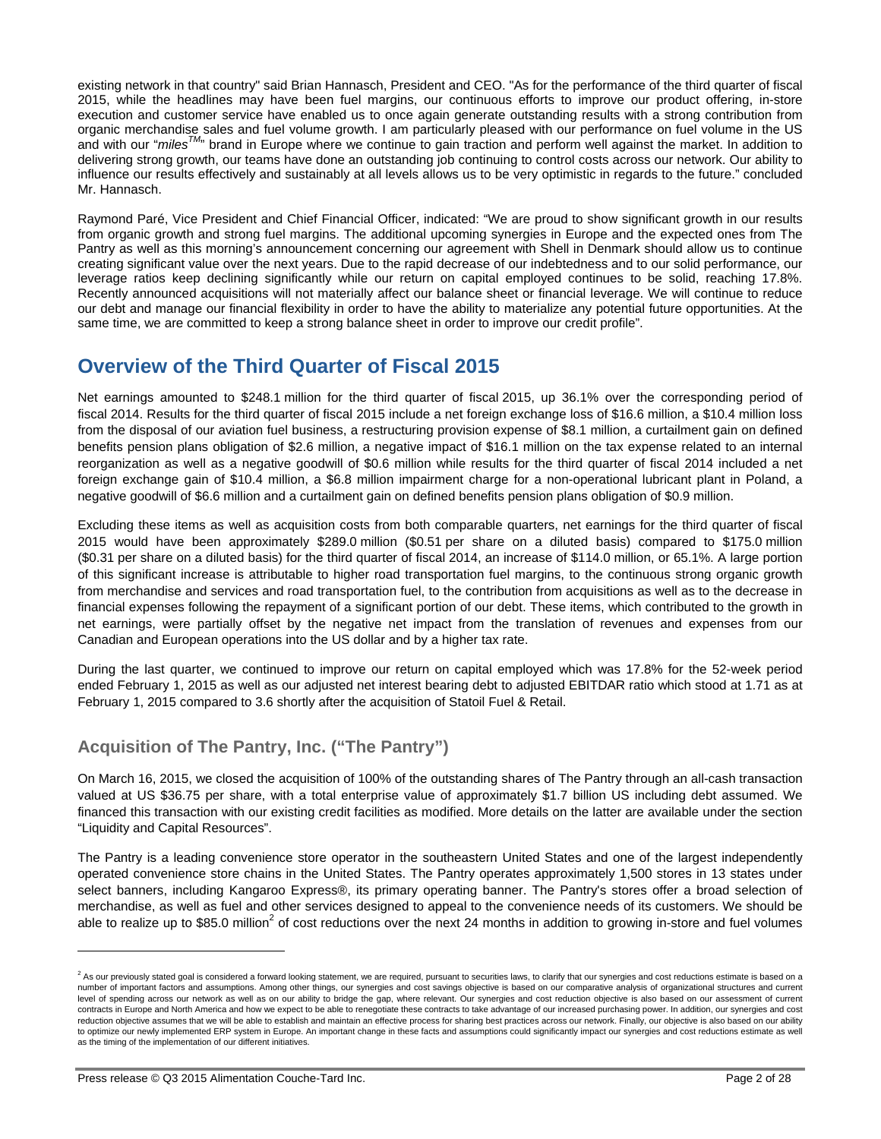existing network in that country" said Brian Hannasch, President and CEO. "As for the performance of the third quarter of fiscal 2015, while the headlines may have been fuel margins, our continuous efforts to improve our product offering, in-store execution and customer service have enabled us to once again generate outstanding results with a strong contribution from organic merchandise sales and fuel volume growth. I am particularly pleased with our performance on fuel volume in the US and with our "*milesTM*" brand in Europe where we continue to gain traction and perform well against the market. In addition to delivering strong growth, our teams have done an outstanding job continuing to control costs across our network. Our ability to influence our results effectively and sustainably at all levels allows us to be very optimistic in regards to the future." concluded Mr. Hannasch.

Raymond Paré, Vice President and Chief Financial Officer, indicated: "We are proud to show significant growth in our results from organic growth and strong fuel margins. The additional upcoming synergies in Europe and the expected ones from The Pantry as well as this morning's announcement concerning our agreement with Shell in Denmark should allow us to continue creating significant value over the next years. Due to the rapid decrease of our indebtedness and to our solid performance, our leverage ratios keep declining significantly while our return on capital employed continues to be solid, reaching 17.8%. Recently announced acquisitions will not materially affect our balance sheet or financial leverage. We will continue to reduce our debt and manage our financial flexibility in order to have the ability to materialize any potential future opportunities. At the same time, we are committed to keep a strong balance sheet in order to improve our credit profile".

# **Overview of the Third Quarter of Fiscal 2015**

Net earnings amounted to \$248.1 million for the third quarter of fiscal 2015, up 36.1% over the corresponding period of fiscal 2014. Results for the third quarter of fiscal 2015 include a net foreign exchange loss of \$16.6 million, a \$10.4 million loss from the disposal of our aviation fuel business, a restructuring provision expense of \$8.1 million, a curtailment gain on defined benefits pension plans obligation of \$2.6 million, a negative impact of \$16.1 million on the tax expense related to an internal reorganization as well as a negative goodwill of \$0.6 million while results for the third quarter of fiscal 2014 included a net foreign exchange gain of \$10.4 million, a \$6.8 million impairment charge for a non-operational lubricant plant in Poland, a negative goodwill of \$6.6 million and a curtailment gain on defined benefits pension plans obligation of \$0.9 million.

Excluding these items as well as acquisition costs from both comparable quarters, net earnings for the third quarter of fiscal 2015 would have been approximately \$289.0 million (\$0.51 per share on a diluted basis) compared to \$175.0 million (\$0.31 per share on a diluted basis) for the third quarter of fiscal 2014, an increase of \$114.0 million, or 65.1%. A large portion of this significant increase is attributable to higher road transportation fuel margins, to the continuous strong organic growth from merchandise and services and road transportation fuel, to the contribution from acquisitions as well as to the decrease in financial expenses following the repayment of a significant portion of our debt. These items, which contributed to the growth in net earnings, were partially offset by the negative net impact from the translation of revenues and expenses from our Canadian and European operations into the US dollar and by a higher tax rate.

During the last quarter, we continued to improve our return on capital employed which was 17.8% for the 52-week period ended February 1, 2015 as well as our adjusted net interest bearing debt to adjusted EBITDAR ratio which stood at 1.71 as at February 1, 2015 compared to 3.6 shortly after the acquisition of Statoil Fuel & Retail.

## **Acquisition of The Pantry, Inc. ("The Pantry")**

On March 16, 2015, we closed the acquisition of 100% of the outstanding shares of The Pantry through an all-cash transaction valued at US \$36.75 per share, with a total enterprise value of approximately \$1.7 billion US including debt assumed. We financed this transaction with our existing credit facilities as modified. More details on the latter are available under the section "Liquidity and Capital Resources".

The Pantry is a leading convenience store operator in the southeastern United States and one of the largest independently operated convenience store chains in the United States. The Pantry operates approximately 1,500 stores in 13 states under select banners, including Kangaroo Express®, its primary operating banner. The Pantry's stores offer a broad selection of merchandise, as well as fuel and other services designed to appeal to the convenience needs of its customers. We should be able to realize up to \$85.0 million<sup>2</sup> of cost reductions over the next 24 months in addition to growing in-store and fuel volumes

 $\overline{a}$ 

<sup>&</sup>lt;sup>2</sup> As our previously stated goal is considered a forward looking statement, we are required, pursuant to securities laws, to clarify that our synergies and cost reductions estimate is based on a number of important factors and assumptions. Among other things, our synergies and cost savings objective is based on our comparative analysis of organizational structures and current level of spending across our network as well as on our ability to bridge the gap, where relevant. Our synergies and cost reduction objective is also based on our assessment of current contracts in Europe and North America and how we expect to be able to renegotiate these contracts to take advantage of our increased purchasing power. In addition, our synergies and cost reduction objective assumes that we will be able to establish and maintain an effective process for sharing best practices across our network. Finally, our objective is also based on our ability to optimize our newly implemented ERP system in Europe. An important change in these facts and assumptions could significantly impact our synergies and cost reductions estimate as well as the timing of the implementation of our different initiatives.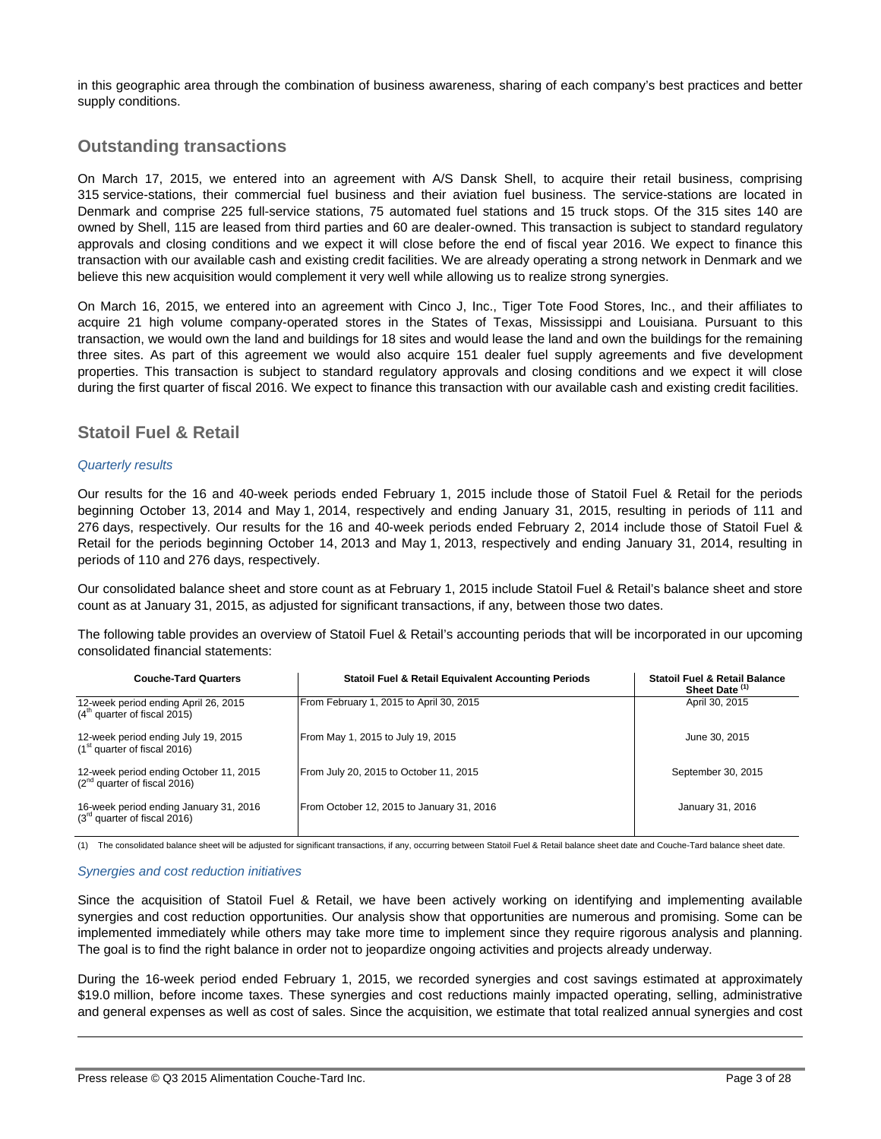in this geographic area through the combination of business awareness, sharing of each company's best practices and better supply conditions.

## **Outstanding transactions**

On March 17, 2015, we entered into an agreement with A/S Dansk Shell, to acquire their retail business, comprising 315 service-stations, their commercial fuel business and their aviation fuel business. The service-stations are located in Denmark and comprise 225 full-service stations, 75 automated fuel stations and 15 truck stops. Of the 315 sites 140 are owned by Shell, 115 are leased from third parties and 60 are dealer-owned. This transaction is subject to standard regulatory approvals and closing conditions and we expect it will close before the end of fiscal year 2016. We expect to finance this transaction with our available cash and existing credit facilities. We are already operating a strong network in Denmark and we believe this new acquisition would complement it very well while allowing us to realize strong synergies.

On March 16, 2015, we entered into an agreement with Cinco J, Inc., Tiger Tote Food Stores, Inc., and their affiliates to acquire 21 high volume company-operated stores in the States of Texas, Mississippi and Louisiana. Pursuant to this transaction, we would own the land and buildings for 18 sites and would lease the land and own the buildings for the remaining three sites. As part of this agreement we would also acquire 151 dealer fuel supply agreements and five development properties. This transaction is subject to standard regulatory approvals and closing conditions and we expect it will close during the first quarter of fiscal 2016. We expect to finance this transaction with our available cash and existing credit facilities.

## **Statoil Fuel & Retail**

#### *Quarterly results*

Our results for the 16 and 40-week periods ended February 1, 2015 include those of Statoil Fuel & Retail for the periods beginning October 13, 2014 and May 1, 2014, respectively and ending January 31, 2015, resulting in periods of 111 and 276 days, respectively. Our results for the 16 and 40-week periods ended February 2, 2014 include those of Statoil Fuel & Retail for the periods beginning October 14, 2013 and May 1, 2013, respectively and ending January 31, 2014, resulting in periods of 110 and 276 days, respectively.

Our consolidated balance sheet and store count as at February 1, 2015 include Statoil Fuel & Retail's balance sheet and store count as at January 31, 2015, as adjusted for significant transactions, if any, between those two dates.

The following table provides an overview of Statoil Fuel & Retail's accounting periods that will be incorporated in our upcoming consolidated financial statements:

| <b>Couche-Tard Quarters</b>                                                 | <b>Statoil Fuel &amp; Retail Equivalent Accounting Periods</b> | <b>Statoil Fuel &amp; Retail Balance</b><br>Sheet Date <sup>(1)</sup> |
|-----------------------------------------------------------------------------|----------------------------------------------------------------|-----------------------------------------------------------------------|
| 12-week period ending April 26, 2015<br>$(4th$ quarter of fiscal 2015)      | From February 1, 2015 to April 30, 2015                        | April 30, 2015                                                        |
| 12-week period ending July 19, 2015<br>$(1st$ quarter of fiscal 2016)       | From May 1, 2015 to July 19, 2015                              | June 30, 2015                                                         |
| 12-week period ending October 11, 2015<br>$(2^{nd}$ quarter of fiscal 2016) | From July 20, 2015 to October 11, 2015                         | September 30, 2015                                                    |
| 16-week period ending January 31, 2016<br>$(3rd$ quarter of fiscal 2016)    | From October 12, 2015 to January 31, 2016                      | January 31, 2016                                                      |

(1) The consolidated balance sheet will be adjusted for significant transactions, if any, occurring between Statoil Fuel & Retail balance sheet date and Couche-Tard balance sheet date.

#### *Synergies and cost reduction initiatives*

 $\overline{a}$ 

Since the acquisition of Statoil Fuel & Retail, we have been actively working on identifying and implementing available synergies and cost reduction opportunities. Our analysis show that opportunities are numerous and promising. Some can be implemented immediately while others may take more time to implement since they require rigorous analysis and planning. The goal is to find the right balance in order not to jeopardize ongoing activities and projects already underway.

During the 16-week period ended February 1, 2015, we recorded synergies and cost savings estimated at approximately \$19.0 million, before income taxes. These synergies and cost reductions mainly impacted operating, selling, administrative and general expenses as well as cost of sales. Since the acquisition, we estimate that total realized annual synergies and cost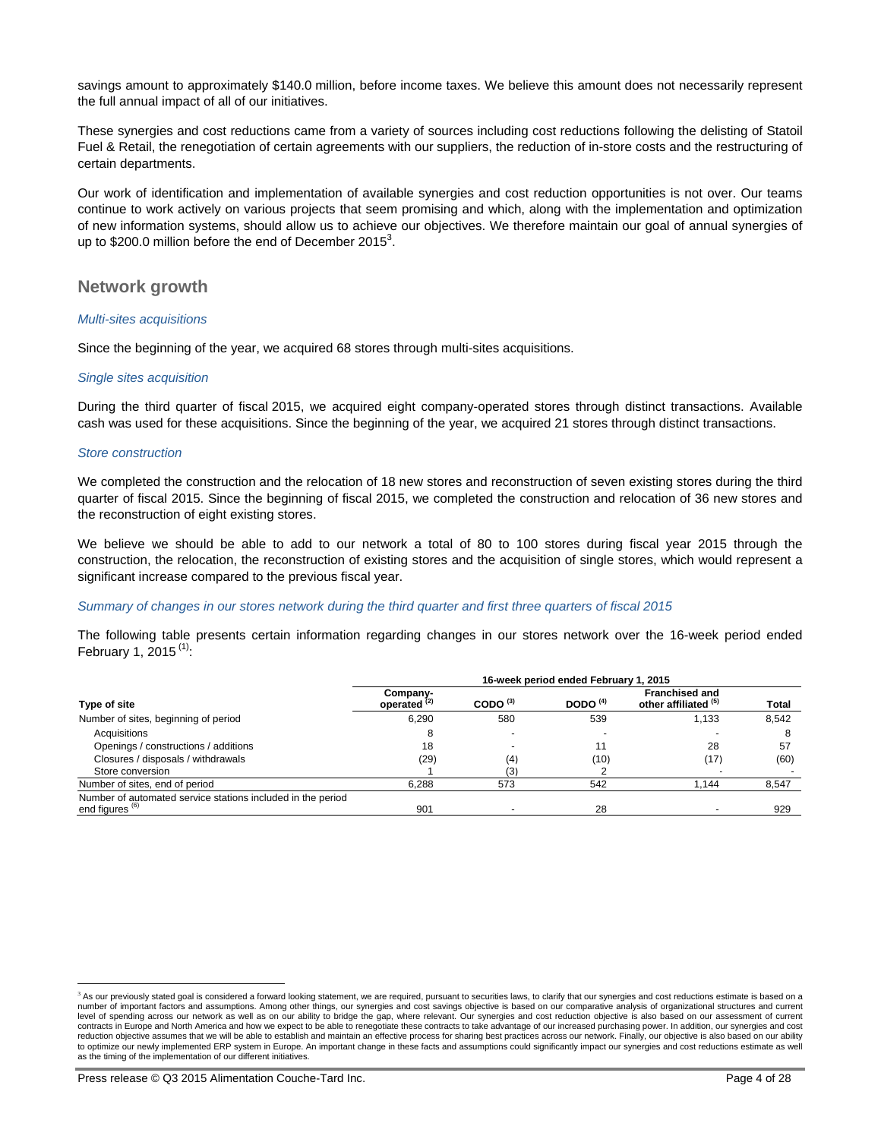savings amount to approximately \$140.0 million, before income taxes. We believe this amount does not necessarily represent the full annual impact of all of our initiatives.

These synergies and cost reductions came from a variety of sources including cost reductions following the delisting of Statoil Fuel & Retail, the renegotiation of certain agreements with our suppliers, the reduction of in-store costs and the restructuring of certain departments.

Our work of identification and implementation of available synergies and cost reduction opportunities is not over. Our teams continue to work actively on various projects that seem promising and which, along with the implementation and optimization of new information systems, should allow us to achieve our objectives. We therefore maintain our goal of annual synergies of up to \$200.0 million before the end of December 2015<sup>3</sup>.

### **Network growth**

#### *Multi-sites acquisitions*

Since the beginning of the year, we acquired 68 stores through multi-sites acquisitions.

#### *Single sites acquisition*

During the third quarter of fiscal 2015, we acquired eight company-operated stores through distinct transactions. Available cash was used for these acquisitions. Since the beginning of the year, we acquired 21 stores through distinct transactions.

#### *Store construction*

 $\overline{a}$ 

We completed the construction and the relocation of 18 new stores and reconstruction of seven existing stores during the third quarter of fiscal 2015. Since the beginning of fiscal 2015, we completed the construction and relocation of 36 new stores and the reconstruction of eight existing stores.

We believe we should be able to add to our network a total of 80 to 100 stores during fiscal year 2015 through the construction, the relocation, the reconstruction of existing stores and the acquisition of single stores, which would represent a significant increase compared to the previous fiscal year.

#### *Summary of changes in our stores network during the third quarter and first three quarters of fiscal 2015*

The following table presents certain information regarding changes in our stores network over the 16-week period ended February 1, 2015 $(1)$ :

|                                                                                           | 16-week period ended February 1, 2015 |               |                          |                                               |              |  |  |
|-------------------------------------------------------------------------------------------|---------------------------------------|---------------|--------------------------|-----------------------------------------------|--------------|--|--|
| Type of site                                                                              | Company-<br>operated <sup>(2)</sup>   | CODO $^{(3)}$ | DODO $(4)$               | <b>Franchised and</b><br>other affiliated (5) | <b>Total</b> |  |  |
| Number of sites, beginning of period                                                      | 6.290                                 | 580           | 539                      | 1.133                                         | 8,542        |  |  |
| Acquisitions                                                                              |                                       |               | $\overline{\phantom{a}}$ |                                               |              |  |  |
| Openings / constructions / additions                                                      | 18                                    |               | 11                       | 28                                            | 57           |  |  |
| Closures / disposals / withdrawals                                                        | (29)                                  | (4)           | (10)                     | (17)                                          | (60)         |  |  |
| Store conversion                                                                          |                                       | (3)           |                          |                                               |              |  |  |
| Number of sites, end of period                                                            | 6.288                                 | 573           | 542                      | 1,144                                         | 8,547        |  |  |
| Number of automated service stations included in the period<br>end figures <sup>(6)</sup> | 901                                   |               | 28                       |                                               | 929          |  |  |

<sup>&</sup>lt;sup>3</sup> As our previously stated goal is considered a forward looking statement, we are required, pursuant to securities laws, to clarify that our synergies and cost reductions estimate is based on a<br>number of important factor level of spending across our network as well as on our ability to bridge the gap, where relevant. Our synergies and cost reduction objective is also based on our assessment of current contracts in Europe and North America and how we expect to be able to renegotiate these contracts to take advantage of our increased purchasing power. In addition, our synergies and cost<br>reduction objective assumes that we to optimize our newly implemented ERP system in Europe. An important change in these facts and assumptions could significantly impact our synergies and cost reductions estimate as well as the timing of the implementation of our different initiatives.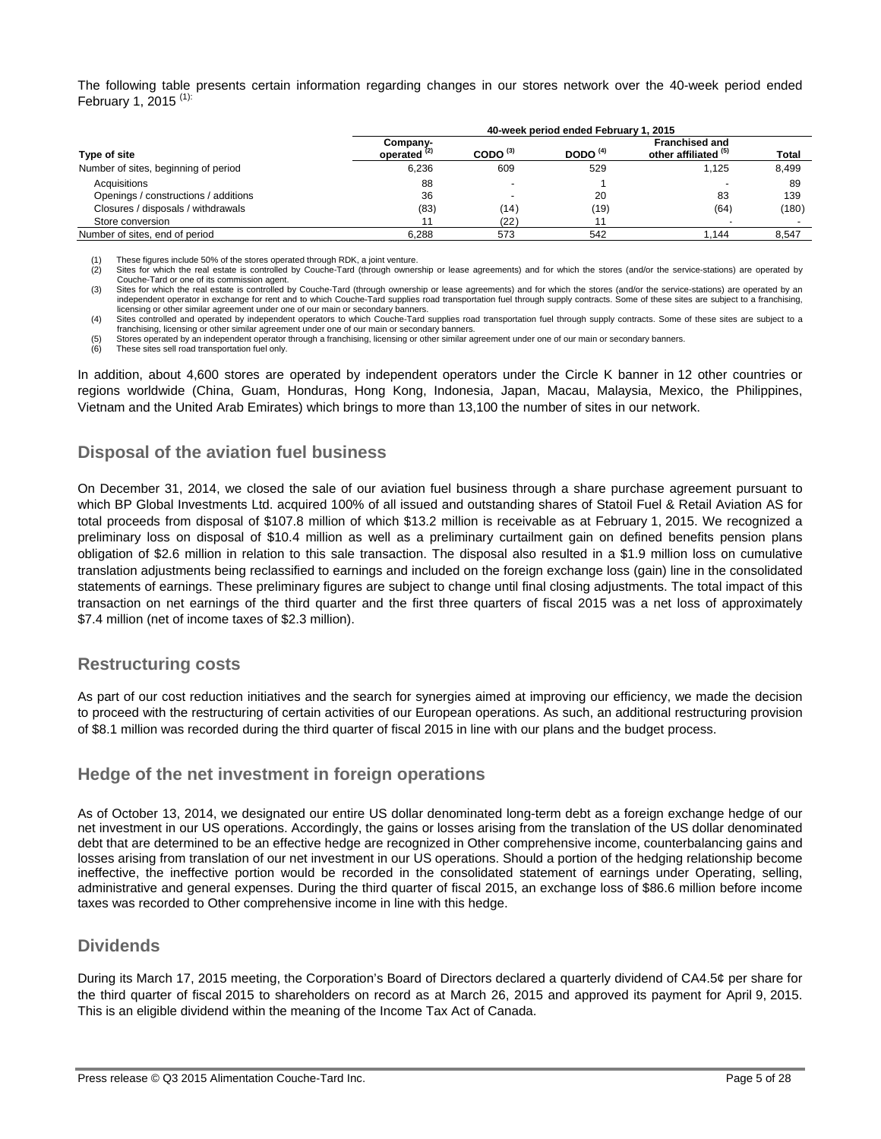The following table presents certain information regarding changes in our stores network over the 40-week period ended February 1, 2015<sup>(1):</sup>

|                                      | 40-week period ended February 1, 2015 |                          |            |                                               |              |  |  |
|--------------------------------------|---------------------------------------|--------------------------|------------|-----------------------------------------------|--------------|--|--|
| Type of site                         | Company-<br>operated <sup>(2)</sup>   | CODO $(3)$               | DODO $(4)$ | <b>Franchised and</b><br>other affiliated (5) | <b>Total</b> |  |  |
| Number of sites, beginning of period | 6.236                                 | 609                      | 529        | 1.125                                         | 8,499        |  |  |
| Acquisitions                         | 88                                    | $\overline{\phantom{a}}$ |            |                                               | 89           |  |  |
| Openings / constructions / additions | 36                                    | -                        | 20         | 83                                            | 139          |  |  |
| Closures / disposals / withdrawals   | (83)                                  | (14)                     | (19)       | (64)                                          | (180)        |  |  |
| Store conversion                     |                                       | (22)                     |            |                                               |              |  |  |
| Number of sites, end of period       | 6.288                                 | 573                      | 542        | 1.144                                         | 8.547        |  |  |

(1) These figures include 50% of the stores operated through RDK, a joint venture.<br>(2) Sites for which the real estate is controlled by Couche-Tard (through ownership or lease agreements) and for which the stores (and/or t Couche-Tard or one of its commission agent.

(3) Sites for which the real estate is controlled by Couche-Tard (through ownership or lease agreements) and for which the stores (and/or the service-stations) are operated by an independent operator in exchange for rent and to which Couche-Tard supplies road transportation fuel through supply contracts. Some of these sites are subject to a franchising, licensing or other similar agreement under one of our main or secondary banners.

(4) Sites controlled and operated by independent operators to which Couche-Tard supplies road transportation fuel through supply contracts. Some of these sites are subject to a franchising, licensing or other similar agreement under one of our main or secondary banners.

(5) Stores operated by an independent operator through a franchising, licensing or other similar agreement under one of our main or secondary banners.<br>(6) These sites sell road transportation fuel only.

These sites sell road transportation fuel only.

In addition, about 4,600 stores are operated by independent operators under the Circle K banner in 12 other countries or regions worldwide (China, Guam, Honduras, Hong Kong, Indonesia, Japan, Macau, Malaysia, Mexico, the Philippines, Vietnam and the United Arab Emirates) which brings to more than 13,100 the number of sites in our network.

## **Disposal of the aviation fuel business**

On December 31, 2014, we closed the sale of our aviation fuel business through a share purchase agreement pursuant to which BP Global Investments Ltd. acquired 100% of all issued and outstanding shares of Statoil Fuel & Retail Aviation AS for total proceeds from disposal of \$107.8 million of which \$13.2 million is receivable as at February 1, 2015. We recognized a preliminary loss on disposal of \$10.4 million as well as a preliminary curtailment gain on defined benefits pension plans obligation of \$2.6 million in relation to this sale transaction. The disposal also resulted in a \$1.9 million loss on cumulative translation adjustments being reclassified to earnings and included on the foreign exchange loss (gain) line in the consolidated statements of earnings. These preliminary figures are subject to change until final closing adjustments. The total impact of this transaction on net earnings of the third quarter and the first three quarters of fiscal 2015 was a net loss of approximately \$7.4 million (net of income taxes of \$2.3 million).

## **Restructuring costs**

As part of our cost reduction initiatives and the search for synergies aimed at improving our efficiency, we made the decision to proceed with the restructuring of certain activities of our European operations. As such, an additional restructuring provision of \$8.1 million was recorded during the third quarter of fiscal 2015 in line with our plans and the budget process.

## **Hedge of the net investment in foreign operations**

As of October 13, 2014, we designated our entire US dollar denominated long-term debt as a foreign exchange hedge of our net investment in our US operations. Accordingly, the gains or losses arising from the translation of the US dollar denominated debt that are determined to be an effective hedge are recognized in Other comprehensive income, counterbalancing gains and losses arising from translation of our net investment in our US operations. Should a portion of the hedging relationship become ineffective, the ineffective portion would be recorded in the consolidated statement of earnings under Operating, selling, administrative and general expenses. During the third quarter of fiscal 2015, an exchange loss of \$86.6 million before income taxes was recorded to Other comprehensive income in line with this hedge.

## **Dividends**

During its March 17, 2015 meeting, the Corporation's Board of Directors declared a quarterly dividend of CA4.5¢ per share for the third quarter of fiscal 2015 to shareholders on record as at March 26, 2015 and approved its payment for April 9, 2015. This is an eligible dividend within the meaning of the Income Tax Act of Canada.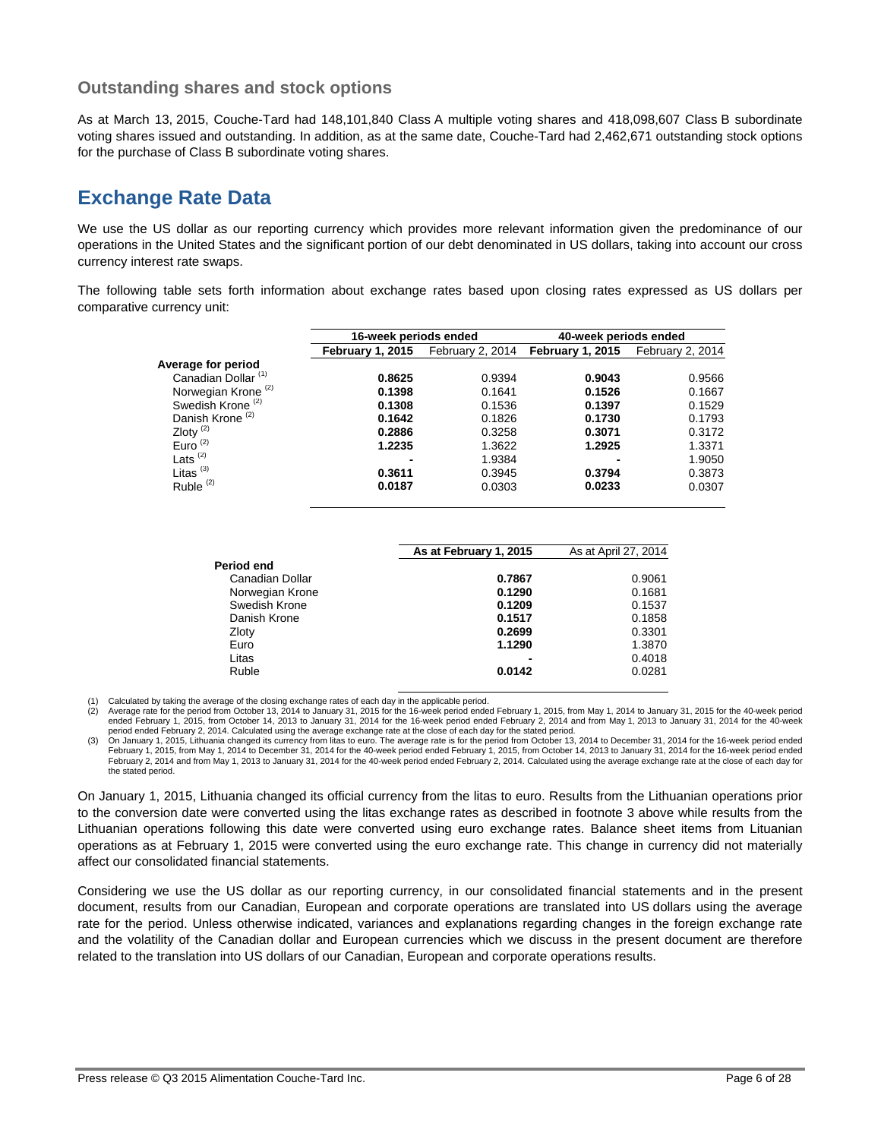## **Outstanding shares and stock options**

As at March 13, 2015, Couche-Tard had 148,101,840 Class A multiple voting shares and 418,098,607 Class B subordinate voting shares issued and outstanding. In addition, as at the same date, Couche-Tard had 2,462,671 outstanding stock options for the purchase of Class B subordinate voting shares.

# **Exchange Rate Data**

We use the US dollar as our reporting currency which provides more relevant information given the predominance of our operations in the United States and the significant portion of our debt denominated in US dollars, taking into account our cross currency interest rate swaps.

The following table sets forth information about exchange rates based upon closing rates expressed as US dollars per comparative currency unit:

|                                | 16-week periods ended   |                  | 40-week periods ended |                  |
|--------------------------------|-------------------------|------------------|-----------------------|------------------|
|                                | <b>February 1, 2015</b> | February 2, 2014 | February 1, 2015      | February 2, 2014 |
| Average for period             |                         |                  |                       |                  |
| Canadian Dollar <sup>(1)</sup> | 0.8625                  | 0.9394           | 0.9043                | 0.9566           |
| Norwegian Krone <sup>(2)</sup> | 0.1398                  | 0.1641           | 0.1526                | 0.1667           |
| Swedish Krone <sup>(2)</sup>   | 0.1308                  | 0.1536           | 0.1397                | 0.1529           |
| Danish Krone <sup>(2)</sup>    | 0.1642                  | 0.1826           | 0.1730                | 0.1793           |
| Zloty $(2)$                    | 0.2886                  | 0.3258           | 0.3071                | 0.3172           |
| Euro $(2)$                     | 1.2235                  | 1.3622           | 1.2925                | 1.3371           |
| Lats $(2)$                     | -                       | 1.9384           | -                     | 1.9050           |
| Litas $(3)$                    | 0.3611                  | 0.3945           | 0.3794                | 0.3873           |
| Ruble <sup>(2)</sup>           | 0.0187                  | 0.0303           | 0.0233                | 0.0307           |

|                 | As at February 1, 2015 | As at April 27, 2014 |
|-----------------|------------------------|----------------------|
| Period end      |                        |                      |
| Canadian Dollar | 0.7867                 | 0.9061               |
| Norwegian Krone | 0.1290                 | 0.1681               |
| Swedish Krone   | 0.1209                 | 0.1537               |
| Danish Krone    | 0.1517                 | 0.1858               |
| Zloty           | 0.2699                 | 0.3301               |
| Euro            | 1.1290                 | 1.3870               |
| Litas           |                        | 0.4018               |
| Ruble           | 0.0142                 | 0.0281               |

(1) Calculated by taking the average of the closing exchange rates of each day in the applicable period.<br>(2) Average rate for the period from October 13, 2014 to January 31, 2015 for the 16-week period ended February 1, 20 ended February 1, 2015, from October 14, 2013 to January 31, 2014 for the 16-week period ended February 2, 2014 and from May 1, 2013 to January 31, 2014 for the 40-week

period ended February 2, 2014. Calculated using the average exchange rate at the close of each day for the stated period.<br>(3) On January 1, 2015, Lithuania changed its currency from litas to euro. The average rate is for t February 1, 2015, from May 1, 2014 to December 31, 2014 for the 40-week period ended February 1, 2015, from October 14, 2013 to January 31, 2014 for the 16-week period ended February 2, 2014 and from May 1, 2013 to January 31, 2014 for the 40-week period ended February 2, 2014. Calculated using the average exchange rate at the close of each day for the stated period.

On January 1, 2015, Lithuania changed its official currency from the litas to euro. Results from the Lithuanian operations prior to the conversion date were converted using the litas exchange rates as described in footnote 3 above while results from the Lithuanian operations following this date were converted using euro exchange rates. Balance sheet items from Lituanian operations as at February 1, 2015 were converted using the euro exchange rate. This change in currency did not materially affect our consolidated financial statements.

Considering we use the US dollar as our reporting currency, in our consolidated financial statements and in the present document, results from our Canadian, European and corporate operations are translated into US dollars using the average rate for the period. Unless otherwise indicated, variances and explanations regarding changes in the foreign exchange rate and the volatility of the Canadian dollar and European currencies which we discuss in the present document are therefore related to the translation into US dollars of our Canadian, European and corporate operations results.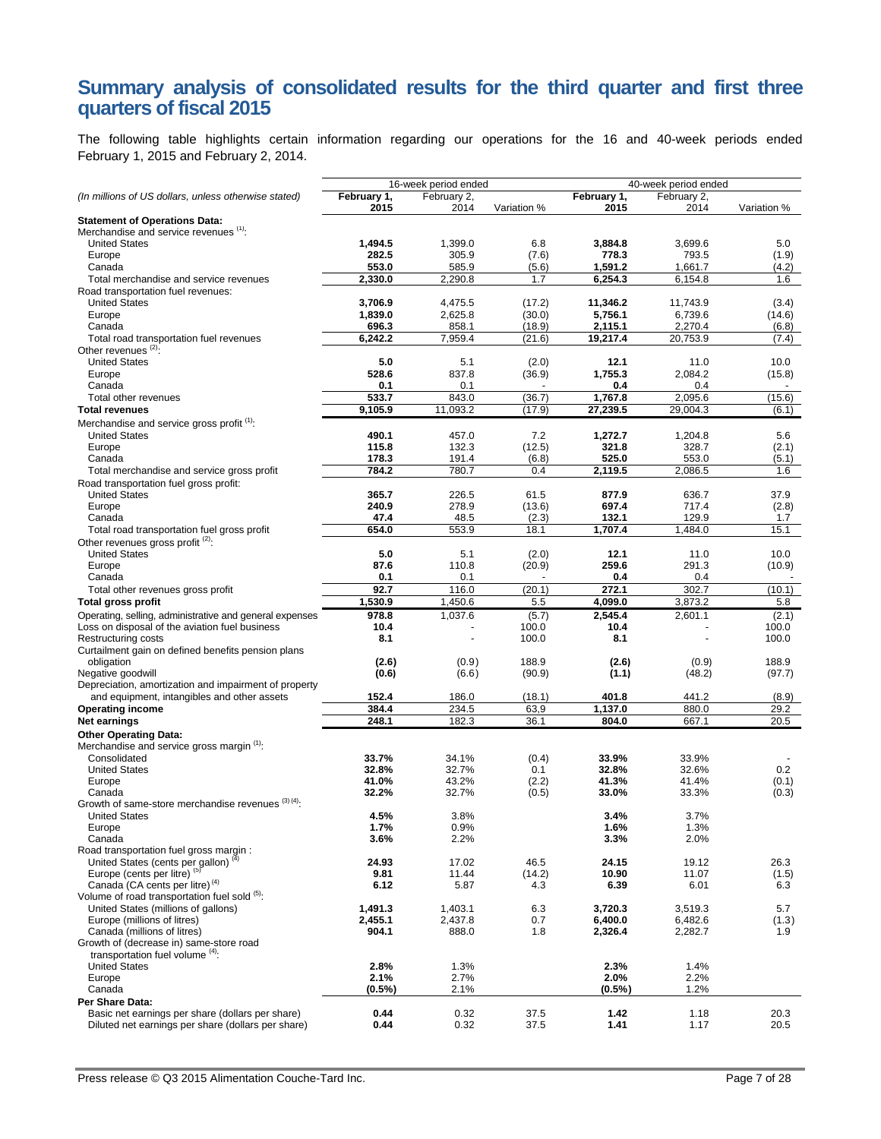## **Summary analysis of consolidated results for the third quarter and first three quarters of fiscal 2015**

The following table highlights certain information regarding our operations for the 16 and 40-week periods ended February 1, 2015 and February 2, 2014.

|                                                                                            | 16-week period ended<br>40-week period ended |                          |                  |                      |                     |                |
|--------------------------------------------------------------------------------------------|----------------------------------------------|--------------------------|------------------|----------------------|---------------------|----------------|
| (In millions of US dollars, unless otherwise stated)                                       | February 1,                                  | February 2,              |                  | February 1,          | February 2,         |                |
| <b>Statement of Operations Data:</b>                                                       | 2015                                         | 2014                     | Variation %      | 2015                 | 2014                | Variation %    |
| Merchandise and service revenues (1):                                                      |                                              |                          |                  |                      |                     |                |
| <b>United States</b>                                                                       | 1,494.5                                      | 1,399.0                  | 6.8              | 3,884.8              | 3,699.6             | 5.0            |
| Europe<br>Canada                                                                           | 282.5<br>553.0                               | 305.9<br>585.9           | (7.6)<br>(5.6)   | 778.3<br>1,591.2     | 793.5<br>1,661.7    | (1.9)<br>(4.2) |
| Total merchandise and service revenues                                                     | 2,330.0                                      | 2,290.8                  | 1.7              | 6,254.3              | 6,154.8             | 1.6            |
| Road transportation fuel revenues:                                                         |                                              |                          |                  |                      |                     |                |
| <b>United States</b>                                                                       | 3,706.9                                      | 4,475.5                  | (17.2)           | 11,346.2             | 11,743.9            | (3.4)          |
| Europe                                                                                     | 1,839.0                                      | 2,625.8                  | (30.0)           | 5,756.1              | 6,739.6             | (14.6)         |
| Canada                                                                                     | 696.3<br>6.242.2                             | 858.1<br>7.959.4         | (18.9)<br>(21.6) | 2,115.1<br>19.217.4  | 2,270.4<br>20.753.9 | (6.8)          |
| Total road transportation fuel revenues<br>Other revenues <sup>(2)</sup> :                 |                                              |                          |                  |                      |                     | (7.4)          |
| <b>United States</b>                                                                       | 5.0                                          | 5.1                      | (2.0)            | 12.1                 | 11.0                | 10.0           |
| Europe                                                                                     | 528.6                                        | 837.8                    | (36.9)           | 1,755.3              | 2,084.2             | (15.8)         |
| Canada                                                                                     | 0.1                                          | 0.1                      |                  | 0.4                  | 0.4                 |                |
| Total other revenues                                                                       | 533.7                                        | 843.0                    | (36.7)           | 1,767.8              | 2,095.6             | (15.6)         |
| <b>Total revenues</b>                                                                      | 9,105.9                                      | 11,093.2                 | (17.9)           | 27,239.5             | 29,004.3            | (6.1)          |
| Merchandise and service gross profit <sup>(1)</sup> :<br><b>United States</b>              | 490.1                                        | 457.0                    | 7.2              | 1,272.7              | 1,204.8             | 5.6            |
| Europe                                                                                     | 115.8                                        | 132.3                    | (12.5)           | 321.8                | 328.7               | (2.1)          |
| Canada                                                                                     | 178.3                                        | 191.4                    | (6.8)            | 525.0                | 553.0               | (5.1)          |
| Total merchandise and service gross profit                                                 | 784.2                                        | 780.7                    | 0.4              | 2,119.5              | 2,086.5             | 1.6            |
| Road transportation fuel gross profit:                                                     |                                              |                          |                  |                      |                     |                |
| <b>United States</b>                                                                       | 365.7                                        | 226.5                    | 61.5             | 877.9                | 636.7               | 37.9           |
| Europe<br>Canada                                                                           | 240.9<br>47.4                                | 278.9<br>48.5            | (13.6)<br>(2.3)  | 697.4<br>132.1       | 717.4<br>129.9      | (2.8)<br>1.7   |
| Total road transportation fuel gross profit                                                | 654.0                                        | 553.9                    | 18.1             | 1,707.4              | 1,484.0             | 15.1           |
| Other revenues gross profit (2):                                                           |                                              |                          |                  |                      |                     |                |
| <b>United States</b>                                                                       | 5.0                                          | 5.1                      | (2.0)            | 12.1                 | 11.0                | 10.0           |
| Europe                                                                                     | 87.6                                         | 110.8                    | (20.9)           | 259.6                | 291.3               | (10.9)         |
| Canada                                                                                     | 0.1                                          | 0.1                      |                  | 0.4                  | 0.4                 |                |
| Total other revenues gross profit<br><b>Total gross profit</b>                             | 92.7<br>1,530.9                              | 116.0<br>1,450.6         | (20.1)<br>5.5    | 272.1<br>4,099.0     | 302.7<br>3,873.2    | (10.1)<br>5.8  |
| Operating, selling, administrative and general expenses                                    | 978.8                                        | 1,037.6                  | (5.7)            | 2,545.4              | 2,601.1             | (2.1)          |
| Loss on disposal of the aviation fuel business                                             | 10.4                                         |                          | 100.0            | 10.4                 |                     | 100.0          |
| Restructuring costs                                                                        | 8.1                                          | $\overline{\phantom{a}}$ | 100.0            | 8.1                  |                     | 100.0          |
| Curtailment gain on defined benefits pension plans                                         |                                              |                          |                  |                      |                     |                |
| obligation                                                                                 | (2.6)                                        | (0.9)                    | 188.9            | (2.6)                | (0.9)               | 188.9          |
| Negative goodwill<br>Depreciation, amortization and impairment of property                 | (0.6)                                        | (6.6)                    | (90.9)           | (1.1)                | (48.2)              | (97.7)         |
| and equipment, intangibles and other assets                                                | 152.4                                        | 186.0                    | (18.1)           | 401.8                | 441.2               | (8.9)          |
| <b>Operating income</b>                                                                    | 384.4                                        | 234.5                    | 63,9             | $\overline{1,}137.0$ | 880.0               | 29.2           |
| Net earnings                                                                               | 248.1                                        | 182.3                    | 36.1             | 804.0                | 667.1               | 20.5           |
| <b>Other Operating Data:</b>                                                               |                                              |                          |                  |                      |                     |                |
| Merchandise and service gross margin (1):                                                  |                                              |                          |                  |                      |                     |                |
| Consolidated<br><b>United States</b>                                                       | 33.7%<br>32.8%                               | 34.1%<br>32.7%           | (0.4)<br>0.1     | 33.9%<br>32.8%       | 33.9%<br>32.6%      | 0.2            |
| Europe                                                                                     | 41.0%                                        | 43.2%                    | (2.2)            | 41.3%                | 41.4%               | (0.1)          |
| Canada                                                                                     | 32.2%                                        | 32.7%                    | (0.5)            | 33.0%                | 33.3%               | (0.3)          |
| Growth of same-store merchandise revenues (3) (4).                                         |                                              |                          |                  |                      |                     |                |
| <b>United States</b><br>Europe                                                             | 4.5%<br>1.7%                                 | 3.8%<br>0.9%             |                  | 3.4%<br>1.6%         | 3.7%<br>1.3%        |                |
| Canada                                                                                     | 3.6%                                         | 2.2%                     |                  | 3.3%                 | 2.0%                |                |
| Road transportation fuel gross margin:                                                     |                                              |                          |                  |                      |                     |                |
| United States (cents per gallon) <sup>(4</sup>                                             | 24.93                                        | 17.02                    | 46.5             | 24.15                | 19.12               | 26.3           |
| Europe (cents per litre) <sup>(5)</sup>                                                    | 9.81                                         | 11.44                    | (14.2)           | 10.90                | 11.07               | (1.5)          |
| Canada (CA cents per litre) <sup>(4)</sup><br>Volume of road transportation fuel sold (5): | 6.12                                         | 5.87                     | 4.3              | 6.39                 | 6.01                | 6.3            |
| United States (millions of gallons)                                                        | 1,491.3                                      | 1,403.1                  | 6.3              | 3,720.3              | 3,519.3             | 5.7            |
| Europe (millions of litres)                                                                | 2,455.1                                      | 2,437.8                  | 0.7              | 6,400.0              | 6,482.6             | (1.3)          |
| Canada (millions of litres)                                                                | 904.1                                        | 888.0                    | 1.8              | 2,326.4              | 2,282.7             | 1.9            |
| Growth of (decrease in) same-store road                                                    |                                              |                          |                  |                      |                     |                |
| transportation fuel volume $(4)$ :<br><b>United States</b>                                 | 2.8%                                         | 1.3%                     |                  | 2.3%                 | 1.4%                |                |
| Europe                                                                                     | 2.1%                                         | 2.7%                     |                  | 2.0%                 | 2.2%                |                |
| Canada                                                                                     | $(0.5\%)$                                    | 2.1%                     |                  | (0.5%                | 1.2%                |                |
| Per Share Data:                                                                            |                                              |                          |                  |                      |                     |                |
| Basic net earnings per share (dollars per share)                                           | 0.44                                         | 0.32                     | 37.5             | 1.42                 | 1.18                | 20.3           |
| Diluted net earnings per share (dollars per share)                                         | 0.44                                         | 0.32                     | 37.5             | 1.41                 | 1.17                | 20.5           |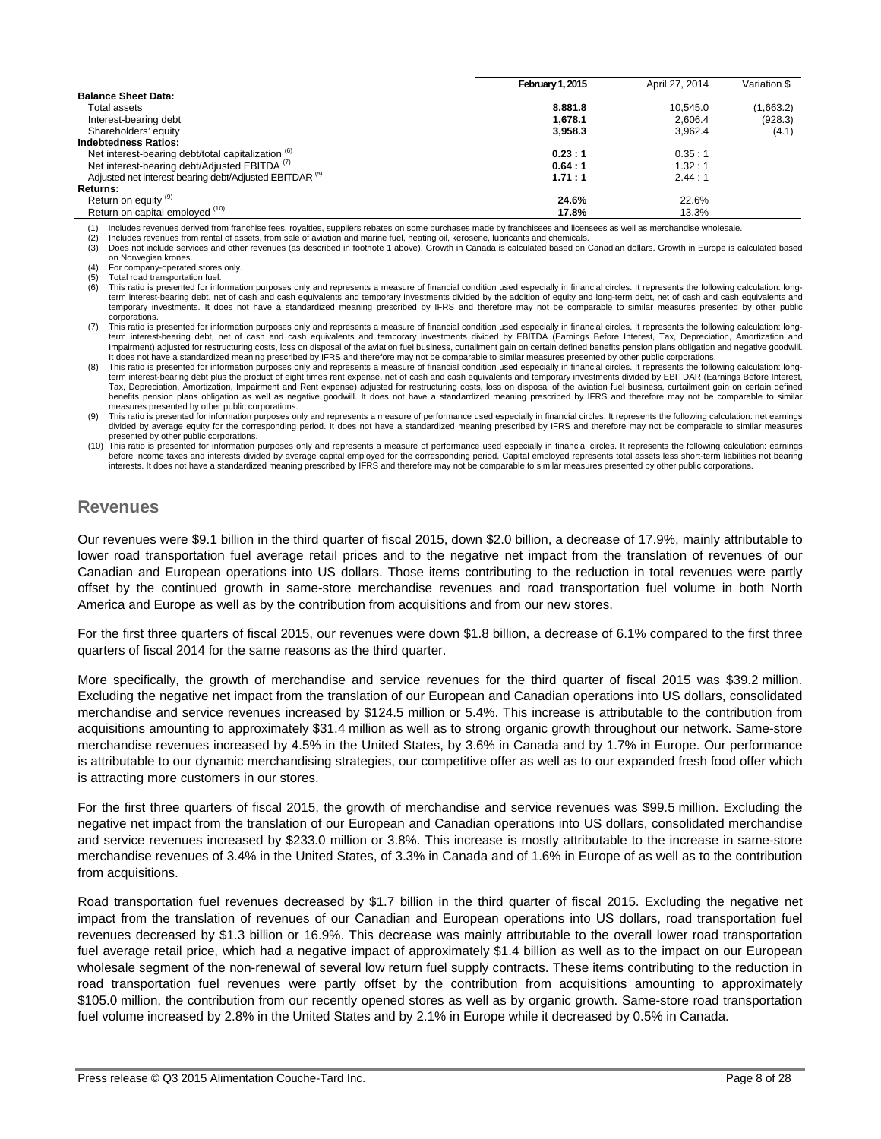|                                                                    | February 1, 2015 | April 27, 2014 | Variation \$ |
|--------------------------------------------------------------------|------------------|----------------|--------------|
| <b>Balance Sheet Data:</b>                                         |                  |                |              |
| Total assets                                                       | 8.881.8          | 10.545.0       | (1,663.2)    |
| Interest-bearing debt                                              | 1.678.1          | 2.606.4        | (928.3)      |
| Shareholders' equity                                               | 3,958.3          | 3.962.4        | (4.1)        |
| <b>Indebtedness Ratios:</b>                                        |                  |                |              |
| Net interest-bearing debt/total capitalization (6)                 | 0.23:1           | 0.35:1         |              |
| Net interest-bearing debt/Adjusted EBITDA <sup>(7)</sup>           | 0.64:1           | 1.32:1         |              |
| Adjusted net interest bearing debt/Adjusted EBITDAR <sup>(8)</sup> | 1.71:1           | 2.44:1         |              |
| <b>Returns:</b>                                                    |                  |                |              |
| Return on equity <sup>(9)</sup>                                    | 24.6%            | 22.6%          |              |
| Return on capital employed (10)                                    | 17.8%            | 13.3%          |              |

(1) Includes revenues derived from franchise fees, royalties, suppliers rebates on some purchases made by franchisees and licensees as well as merchandise wholesale<br>(2) Includes revenues from rental of assets, from sale of

Includes revenues from rental of assets, from sale of aviation and marine fuel, heating oil, kerosene, lubricants and chemicals.

(3) Does not include services and other revenues (as described in footnote 1 above). Growth in Canada is calculated based on Canadian dollars. Growth in Europe is calculated based on Norwegian krones.

(4) For company-operated stores only.

 $(5)$  Total road transportation fuel.<br> $(6)$  This ratio is presented for info This ratio is presented for information purposes only and represents a measure of financial condition used especially in financial circles. It represents the following calculation: longterm interest-bearing debt, net of cash and cash equivalents and temporary investments divided by the addition of equity and long-term debt, net of cash and cash equivalents and<br>temporary investments. It does not have a st corporations.

(7) This ratio is presented for information purposes only and represents a measure of financial condition used especially in financial circles. It represents the following calculation: longterm interest-bearing debt, net of cash and cash equivalents and temporary investments divided by EBITDA (Earnings Before Interest, Tax, Depreciation, Amortization and Impairment) adjusted for restructuring costs, loss on disposal of the aviation fuel business, curtailment gain on certain defined benefits pension plans obligation and negative goodwill. It does not have a standardized meaning prescribed by IFRS and therefore may not be comparable to similar measures presented by other public corporations.

-8) This ratio is presented for information purposes only and represents a measure of financial condition used especially in financial circles. It represents the following calculation: long-<br>term interest-bearing debt plus Tax, Depreciation, Amortization, Impairment and Rent expense) adjusted for restructuring costs, loss on disposal of the aviation fuel business, curtailment gain on certain defined benefits pension plans obligation as well as negative goodwill. It does not have a standardized meaning prescribed by IFRS and therefore may not be comparable to similar measures presented by other public corporations.

(9) This ratio is presented for information purposes only and represents a measure of performance used especially in financial circles. It represents the following calculation: net earnings divided by average equity for the corresponding period. It does not have a standardized meaning prescribed by IFRS and therefore may not be comparable to similar measures presented by other public corporations.

(10) This ratio is presented for information purposes only and represents a measure of performance used especially in financial circles. It represents the following calculation: earnings before income taxes and interests divided by average capital employed for the corresponding period. Capital employed represents total assets less short-term liabilities not bearing<br>interests. It does not have a standardize

## **Revenues**

Our revenues were \$9.1 billion in the third quarter of fiscal 2015, down \$2.0 billion, a decrease of 17.9%, mainly attributable to lower road transportation fuel average retail prices and to the negative net impact from the translation of revenues of our Canadian and European operations into US dollars. Those items contributing to the reduction in total revenues were partly offset by the continued growth in same-store merchandise revenues and road transportation fuel volume in both North America and Europe as well as by the contribution from acquisitions and from our new stores.

For the first three quarters of fiscal 2015, our revenues were down \$1.8 billion, a decrease of 6.1% compared to the first three quarters of fiscal 2014 for the same reasons as the third quarter.

More specifically, the growth of merchandise and service revenues for the third quarter of fiscal 2015 was \$39.2 million. Excluding the negative net impact from the translation of our European and Canadian operations into US dollars, consolidated merchandise and service revenues increased by \$124.5 million or 5.4%. This increase is attributable to the contribution from acquisitions amounting to approximately \$31.4 million as well as to strong organic growth throughout our network. Same-store merchandise revenues increased by 4.5% in the United States, by 3.6% in Canada and by 1.7% in Europe. Our performance is attributable to our dynamic merchandising strategies, our competitive offer as well as to our expanded fresh food offer which is attracting more customers in our stores.

For the first three quarters of fiscal 2015, the growth of merchandise and service revenues was \$99.5 million. Excluding the negative net impact from the translation of our European and Canadian operations into US dollars, consolidated merchandise and service revenues increased by \$233.0 million or 3.8%. This increase is mostly attributable to the increase in same-store merchandise revenues of 3.4% in the United States, of 3.3% in Canada and of 1.6% in Europe of as well as to the contribution from acquisitions.

Road transportation fuel revenues decreased by \$1.7 billion in the third quarter of fiscal 2015. Excluding the negative net impact from the translation of revenues of our Canadian and European operations into US dollars, road transportation fuel revenues decreased by \$1.3 billion or 16.9%. This decrease was mainly attributable to the overall lower road transportation fuel average retail price, which had a negative impact of approximately \$1.4 billion as well as to the impact on our European wholesale segment of the non-renewal of several low return fuel supply contracts. These items contributing to the reduction in road transportation fuel revenues were partly offset by the contribution from acquisitions amounting to approximately \$105.0 million, the contribution from our recently opened stores as well as by organic growth. Same-store road transportation fuel volume increased by 2.8% in the United States and by 2.1% in Europe while it decreased by 0.5% in Canada.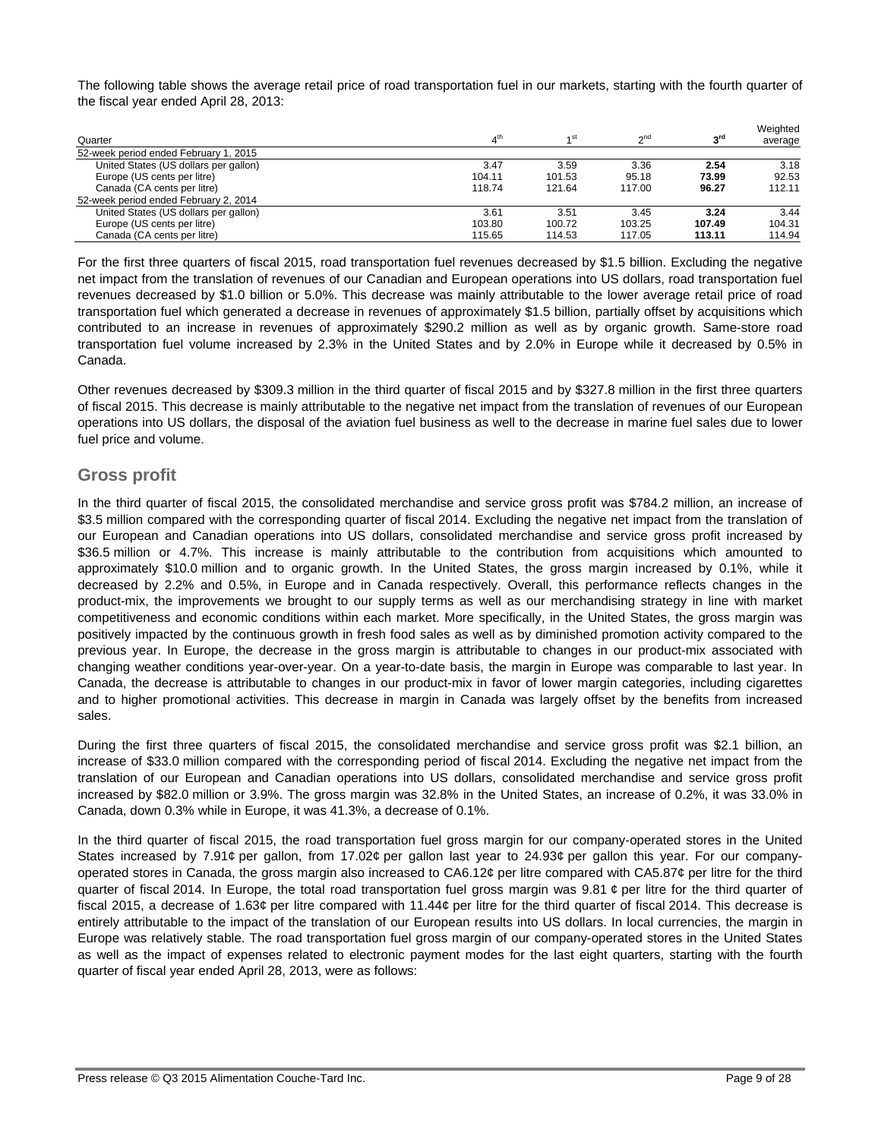The following table shows the average retail price of road transportation fuel in our markets, starting with the fourth quarter of the fiscal year ended April 28, 2013:

| Quarter                               | $\Lambda^{\text{th}}$ | ⊿ st   | $\gamma$ <sup>nd</sup> | ეrd    | Weighted<br>average |
|---------------------------------------|-----------------------|--------|------------------------|--------|---------------------|
| 52-week period ended February 1, 2015 |                       |        |                        |        |                     |
| United States (US dollars per gallon) | 3.47                  | 3.59   | 3.36                   | 2.54   | 3.18                |
| Europe (US cents per litre)           | 104.11                | 101.53 | 95.18                  | 73.99  | 92.53               |
| Canada (CA cents per litre)           | 118.74                | 121.64 | 117.00                 | 96.27  | 112.11              |
| 52-week period ended February 2, 2014 |                       |        |                        |        |                     |
| United States (US dollars per gallon) | 3.61                  | 3.51   | 3.45                   | 3.24   | 3.44                |
| Europe (US cents per litre)           | 103.80                | 100.72 | 103.25                 | 107.49 | 104.31              |
| Canada (CA cents per litre)           | 115.65                | 114.53 | 117.05                 | 113.11 | 114.94              |

For the first three quarters of fiscal 2015, road transportation fuel revenues decreased by \$1.5 billion. Excluding the negative net impact from the translation of revenues of our Canadian and European operations into US dollars, road transportation fuel revenues decreased by \$1.0 billion or 5.0%. This decrease was mainly attributable to the lower average retail price of road transportation fuel which generated a decrease in revenues of approximately \$1.5 billion, partially offset by acquisitions which contributed to an increase in revenues of approximately \$290.2 million as well as by organic growth. Same-store road transportation fuel volume increased by 2.3% in the United States and by 2.0% in Europe while it decreased by 0.5% in Canada.

Other revenues decreased by \$309.3 million in the third quarter of fiscal 2015 and by \$327.8 million in the first three quarters of fiscal 2015. This decrease is mainly attributable to the negative net impact from the translation of revenues of our European operations into US dollars, the disposal of the aviation fuel business as well to the decrease in marine fuel sales due to lower fuel price and volume.

## **Gross profit**

In the third quarter of fiscal 2015, the consolidated merchandise and service gross profit was \$784.2 million, an increase of \$3.5 million compared with the corresponding quarter of fiscal 2014. Excluding the negative net impact from the translation of our European and Canadian operations into US dollars, consolidated merchandise and service gross profit increased by \$36.5 million or 4.7%. This increase is mainly attributable to the contribution from acquisitions which amounted to approximately \$10.0 million and to organic growth. In the United States, the gross margin increased by 0.1%, while it decreased by 2.2% and 0.5%, in Europe and in Canada respectively. Overall, this performance reflects changes in the product-mix, the improvements we brought to our supply terms as well as our merchandising strategy in line with market competitiveness and economic conditions within each market. More specifically, in the United States, the gross margin was positively impacted by the continuous growth in fresh food sales as well as by diminished promotion activity compared to the previous year. In Europe, the decrease in the gross margin is attributable to changes in our product-mix associated with changing weather conditions year-over-year. On a year-to-date basis, the margin in Europe was comparable to last year. In Canada, the decrease is attributable to changes in our product-mix in favor of lower margin categories, including cigarettes and to higher promotional activities. This decrease in margin in Canada was largely offset by the benefits from increased sales.

During the first three quarters of fiscal 2015, the consolidated merchandise and service gross profit was \$2.1 billion, an increase of \$33.0 million compared with the corresponding period of fiscal 2014. Excluding the negative net impact from the translation of our European and Canadian operations into US dollars, consolidated merchandise and service gross profit increased by \$82.0 million or 3.9%. The gross margin was 32.8% in the United States, an increase of 0.2%, it was 33.0% in Canada, down 0.3% while in Europe, it was 41.3%, a decrease of 0.1%.

In the third quarter of fiscal 2015, the road transportation fuel gross margin for our company-operated stores in the United States increased by 7.91¢ per gallon, from 17.02¢ per gallon last year to 24.93¢ per gallon this year. For our companyoperated stores in Canada, the gross margin also increased to CA6.12¢ per litre compared with CA5.87¢ per litre for the third quarter of fiscal 2014. In Europe, the total road transportation fuel gross margin was 9.81 ¢ per litre for the third quarter of fiscal 2015, a decrease of 1.63¢ per litre compared with 11.44¢ per litre for the third quarter of fiscal 2014. This decrease is entirely attributable to the impact of the translation of our European results into US dollars. In local currencies, the margin in Europe was relatively stable. The road transportation fuel gross margin of our company-operated stores in the United States as well as the impact of expenses related to electronic payment modes for the last eight quarters, starting with the fourth quarter of fiscal year ended April 28, 2013, were as follows: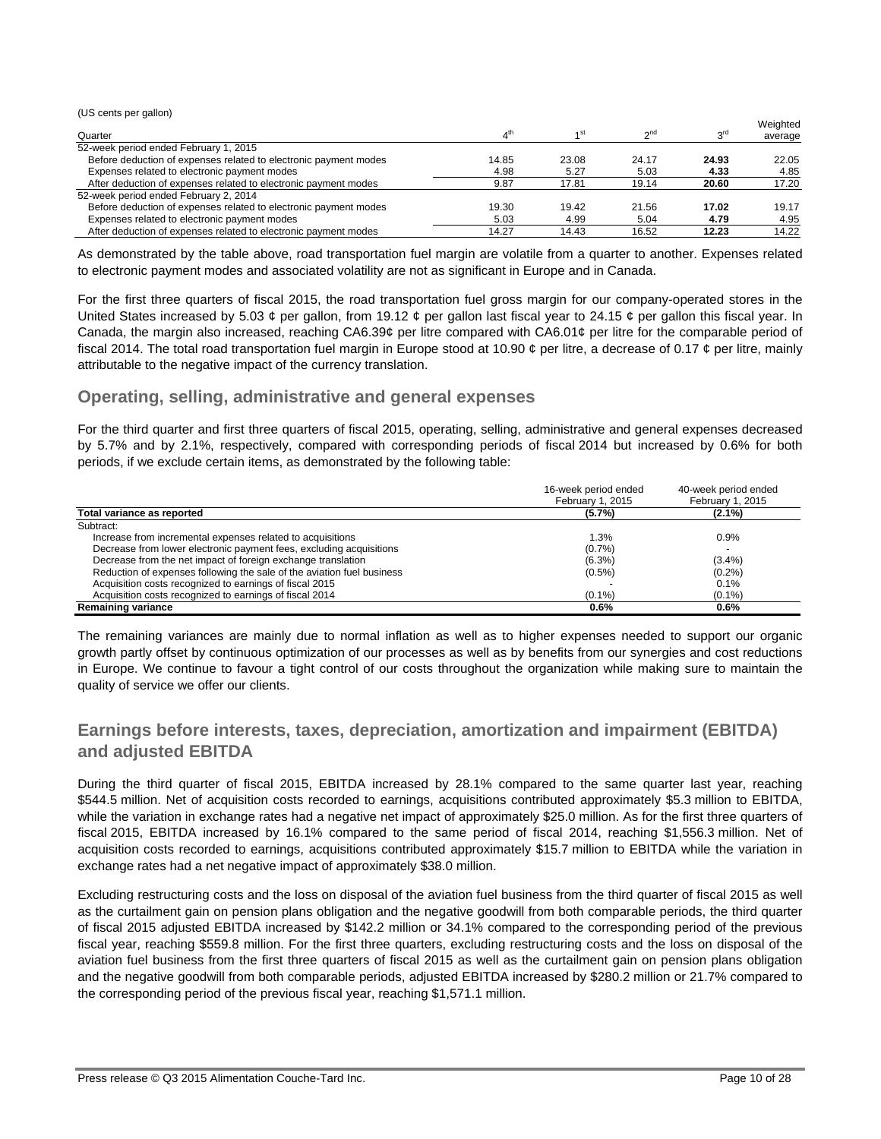(US cents per gallon)

|                                                                  |                       |       |                      |                 | Weighted |
|------------------------------------------------------------------|-----------------------|-------|----------------------|-----------------|----------|
| Quarter                                                          | $\Lambda^{\text{th}}$ |       | $\sim$ <sup>nd</sup> | <sub>o</sub> rd | average  |
| 52-week period ended February 1, 2015                            |                       |       |                      |                 |          |
| Before deduction of expenses related to electronic payment modes | 14.85                 | 23.08 | 24.17                | 24.93           | 22.05    |
| Expenses related to electronic payment modes                     | 4.98                  | 5.27  | 5.03                 | 4.33            | 4.85     |
| After deduction of expenses related to electronic payment modes  | 9.87                  | 17.81 | 19.14                | 20.60           | 17.20    |
| 52-week period ended February 2, 2014                            |                       |       |                      |                 |          |
| Before deduction of expenses related to electronic payment modes | 19.30                 | 19.42 | 21.56                | 17.02           | 19.17    |
| Expenses related to electronic payment modes                     | 5.03                  | 4.99  | 5.04                 | 4.79            | 4.95     |
| After deduction of expenses related to electronic payment modes  | 14.27                 | 14.43 | 16.52                | 12.23           | 14.22    |

As demonstrated by the table above, road transportation fuel margin are volatile from a quarter to another. Expenses related to electronic payment modes and associated volatility are not as significant in Europe and in Canada.

For the first three quarters of fiscal 2015, the road transportation fuel gross margin for our company-operated stores in the United States increased by 5.03  $\phi$  per gallon, from 19.12  $\phi$  per gallon last fiscal year to 24.15  $\phi$  per gallon this fiscal year. In Canada, the margin also increased, reaching CA6.39¢ per litre compared with CA6.01¢ per litre for the comparable period of fiscal 2014. The total road transportation fuel margin in Europe stood at 10.90  $\phi$  per litre, a decrease of 0.17  $\phi$  per litre, mainly attributable to the negative impact of the currency translation.

## **Operating, selling, administrative and general expenses**

For the third quarter and first three quarters of fiscal 2015, operating, selling, administrative and general expenses decreased by 5.7% and by 2.1%, respectively, compared with corresponding periods of fiscal 2014 but increased by 0.6% for both periods, if we exclude certain items, as demonstrated by the following table:

|                                                                        | 16-week period ended<br>February 1, 2015 | 40-week period ended<br>February 1, 2015 |
|------------------------------------------------------------------------|------------------------------------------|------------------------------------------|
| Total variance as reported                                             | (5.7%)                                   | $(2.1\%)$                                |
| Subtract:                                                              |                                          |                                          |
| Increase from incremental expenses related to acquisitions             | 1.3%                                     | 0.9%                                     |
| Decrease from lower electronic payment fees, excluding acquisitions    | (0.7%                                    |                                          |
| Decrease from the net impact of foreign exchange translation           | $(6.3\%)$                                | $(3.4\%)$                                |
| Reduction of expenses following the sale of the aviation fuel business | $(0.5\%)$                                | (0.2%                                    |
| Acquisition costs recognized to earnings of fiscal 2015                |                                          | 0.1%                                     |
| Acquisition costs recognized to earnings of fiscal 2014                | $(0.1\%)$                                | $(0.1\%)$                                |
| <b>Remaining variance</b>                                              | 0.6%                                     | 0.6%                                     |

The remaining variances are mainly due to normal inflation as well as to higher expenses needed to support our organic growth partly offset by continuous optimization of our processes as well as by benefits from our synergies and cost reductions in Europe. We continue to favour a tight control of our costs throughout the organization while making sure to maintain the quality of service we offer our clients.

## **Earnings before interests, taxes, depreciation, amortization and impairment (EBITDA) and adjusted EBITDA**

During the third quarter of fiscal 2015, EBITDA increased by 28.1% compared to the same quarter last year, reaching \$544.5 million. Net of acquisition costs recorded to earnings, acquisitions contributed approximately \$5.3 million to EBITDA, while the variation in exchange rates had a negative net impact of approximately \$25.0 million. As for the first three quarters of fiscal 2015, EBITDA increased by 16.1% compared to the same period of fiscal 2014, reaching \$1,556.3 million. Net of acquisition costs recorded to earnings, acquisitions contributed approximately \$15.7 million to EBITDA while the variation in exchange rates had a net negative impact of approximately \$38.0 million.

Excluding restructuring costs and the loss on disposal of the aviation fuel business from the third quarter of fiscal 2015 as well as the curtailment gain on pension plans obligation and the negative goodwill from both comparable periods, the third quarter of fiscal 2015 adjusted EBITDA increased by \$142.2 million or 34.1% compared to the corresponding period of the previous fiscal year, reaching \$559.8 million. For the first three quarters, excluding restructuring costs and the loss on disposal of the aviation fuel business from the first three quarters of fiscal 2015 as well as the curtailment gain on pension plans obligation and the negative goodwill from both comparable periods, adjusted EBITDA increased by \$280.2 million or 21.7% compared to the corresponding period of the previous fiscal year, reaching \$1,571.1 million.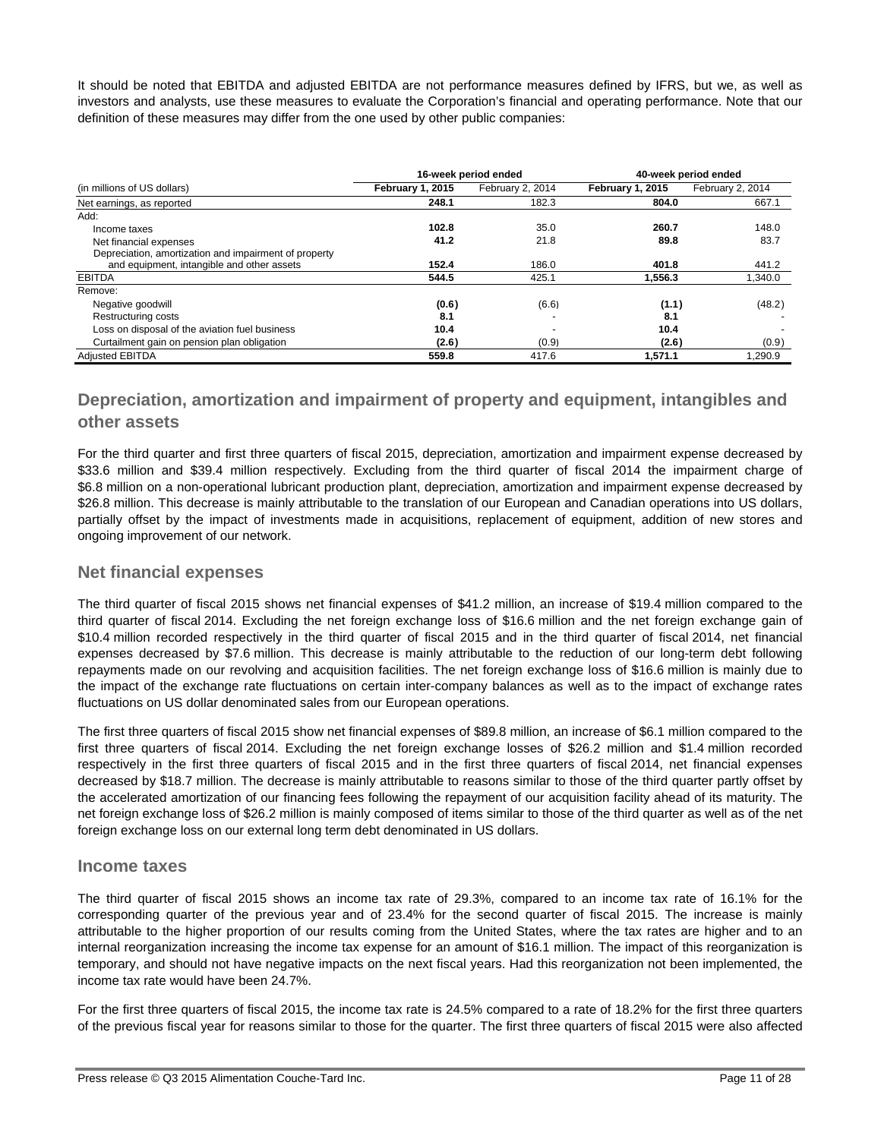It should be noted that EBITDA and adjusted EBITDA are not performance measures defined by IFRS, but we, as well as investors and analysts, use these measures to evaluate the Corporation's financial and operating performance. Note that our definition of these measures may differ from the one used by other public companies:

|                                                       |                  | 16-week period ended | 40-week period ended    |                  |  |
|-------------------------------------------------------|------------------|----------------------|-------------------------|------------------|--|
| (in millions of US dollars)                           | February 1, 2015 | February 2, 2014     | <b>February 1, 2015</b> | February 2, 2014 |  |
| Net earnings, as reported                             | 248.1            | 182.3                | 804.0                   | 667.1            |  |
| Add:                                                  |                  |                      |                         |                  |  |
| Income taxes                                          | 102.8            | 35.0                 | 260.7                   | 148.0            |  |
| Net financial expenses                                | 41.2             | 21.8                 | 89.8                    | 83.7             |  |
| Depreciation, amortization and impairment of property |                  |                      |                         |                  |  |
| and equipment, intangible and other assets            | 152.4            | 186.0                | 401.8                   | 441.2            |  |
| <b>EBITDA</b>                                         | 544.5            | 425.1                | 1.556.3                 | 1.340.0          |  |
| Remove:                                               |                  |                      |                         |                  |  |
| Negative goodwill                                     | (0.6)            | (6.6)                | (1.1)                   | (48.2)           |  |
| Restructuring costs                                   | 8.1              |                      | 8.1                     |                  |  |
| Loss on disposal of the aviation fuel business        | 10.4             |                      | 10.4                    |                  |  |
| Curtailment gain on pension plan obligation           | (2.6)            | (0.9)                | (2.6)                   | (0.9)            |  |
| <b>Adiusted EBITDA</b>                                | 559.8            | 417.6                | 1.571.1                 | 1.290.9          |  |

## **Depreciation, amortization and impairment of property and equipment, intangibles and other assets**

For the third quarter and first three quarters of fiscal 2015, depreciation, amortization and impairment expense decreased by \$33.6 million and \$39.4 million respectively. Excluding from the third quarter of fiscal 2014 the impairment charge of \$6.8 million on a non-operational lubricant production plant, depreciation, amortization and impairment expense decreased by \$26.8 million. This decrease is mainly attributable to the translation of our European and Canadian operations into US dollars, partially offset by the impact of investments made in acquisitions, replacement of equipment, addition of new stores and ongoing improvement of our network.

## **Net financial expenses**

The third quarter of fiscal 2015 shows net financial expenses of \$41.2 million, an increase of \$19.4 million compared to the third quarter of fiscal 2014. Excluding the net foreign exchange loss of \$16.6 million and the net foreign exchange gain of \$10.4 million recorded respectively in the third quarter of fiscal 2015 and in the third quarter of fiscal 2014, net financial expenses decreased by \$7.6 million. This decrease is mainly attributable to the reduction of our long-term debt following repayments made on our revolving and acquisition facilities. The net foreign exchange loss of \$16.6 million is mainly due to the impact of the exchange rate fluctuations on certain inter-company balances as well as to the impact of exchange rates fluctuations on US dollar denominated sales from our European operations.

The first three quarters of fiscal 2015 show net financial expenses of \$89.8 million, an increase of \$6.1 million compared to the first three quarters of fiscal 2014. Excluding the net foreign exchange losses of \$26.2 million and \$1.4 million recorded respectively in the first three quarters of fiscal 2015 and in the first three quarters of fiscal 2014, net financial expenses decreased by \$18.7 million. The decrease is mainly attributable to reasons similar to those of the third quarter partly offset by the accelerated amortization of our financing fees following the repayment of our acquisition facility ahead of its maturity. The net foreign exchange loss of \$26.2 million is mainly composed of items similar to those of the third quarter as well as of the net foreign exchange loss on our external long term debt denominated in US dollars.

## **Income taxes**

The third quarter of fiscal 2015 shows an income tax rate of 29.3%, compared to an income tax rate of 16.1% for the corresponding quarter of the previous year and of 23.4% for the second quarter of fiscal 2015. The increase is mainly attributable to the higher proportion of our results coming from the United States, where the tax rates are higher and to an internal reorganization increasing the income tax expense for an amount of \$16.1 million. The impact of this reorganization is temporary, and should not have negative impacts on the next fiscal years. Had this reorganization not been implemented, the income tax rate would have been 24.7%.

For the first three quarters of fiscal 2015, the income tax rate is 24.5% compared to a rate of 18.2% for the first three quarters of the previous fiscal year for reasons similar to those for the quarter. The first three quarters of fiscal 2015 were also affected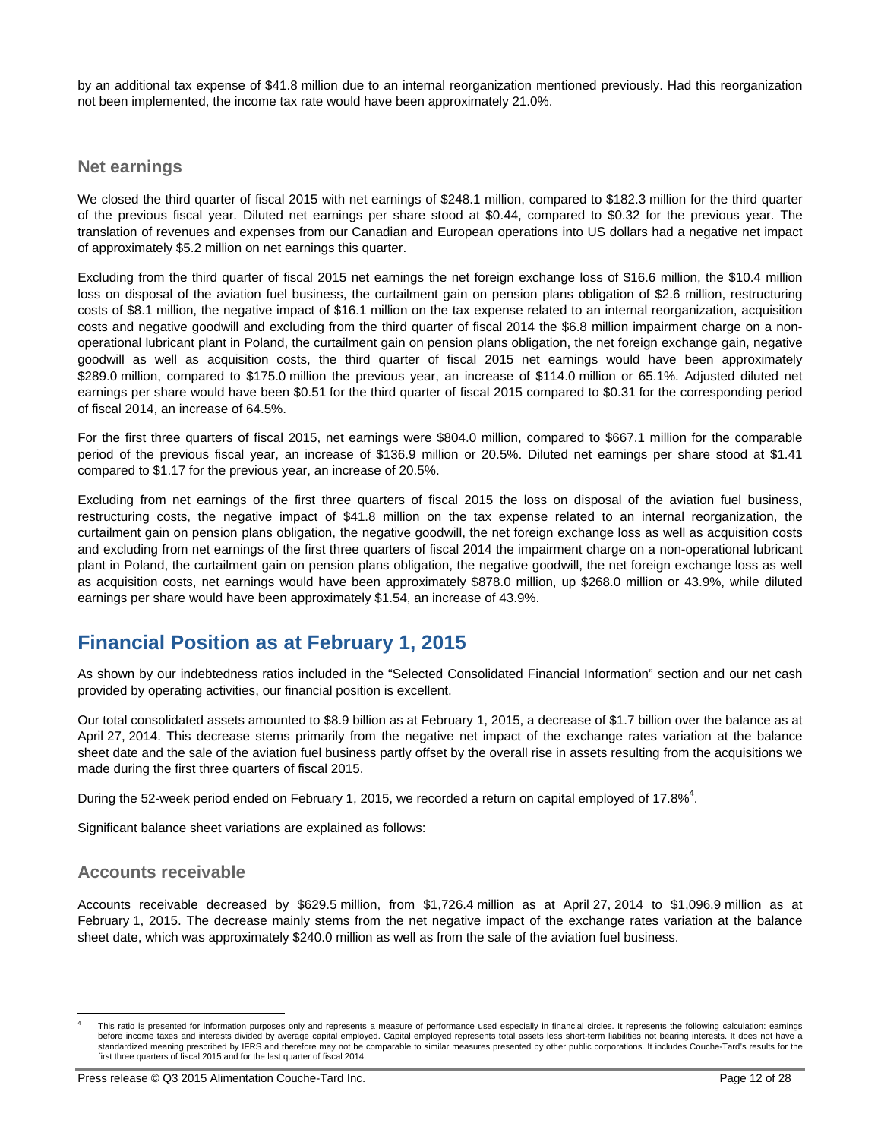by an additional tax expense of \$41.8 million due to an internal reorganization mentioned previously. Had this reorganization not been implemented, the income tax rate would have been approximately 21.0%.

## **Net earnings**

We closed the third quarter of fiscal 2015 with net earnings of \$248.1 million, compared to \$182.3 million for the third quarter of the previous fiscal year. Diluted net earnings per share stood at \$0.44, compared to \$0.32 for the previous year. The translation of revenues and expenses from our Canadian and European operations into US dollars had a negative net impact of approximately \$5.2 million on net earnings this quarter.

Excluding from the third quarter of fiscal 2015 net earnings the net foreign exchange loss of \$16.6 million, the \$10.4 million loss on disposal of the aviation fuel business, the curtailment gain on pension plans obligation of \$2.6 million, restructuring costs of \$8.1 million, the negative impact of \$16.1 million on the tax expense related to an internal reorganization, acquisition costs and negative goodwill and excluding from the third quarter of fiscal 2014 the \$6.8 million impairment charge on a nonoperational lubricant plant in Poland, the curtailment gain on pension plans obligation, the net foreign exchange gain, negative goodwill as well as acquisition costs, the third quarter of fiscal 2015 net earnings would have been approximately \$289.0 million, compared to \$175.0 million the previous year, an increase of \$114.0 million or 65.1%. Adjusted diluted net earnings per share would have been \$0.51 for the third quarter of fiscal 2015 compared to \$0.31 for the corresponding period of fiscal 2014, an increase of 64.5%.

For the first three quarters of fiscal 2015, net earnings were \$804.0 million, compared to \$667.1 million for the comparable period of the previous fiscal year, an increase of \$136.9 million or 20.5%. Diluted net earnings per share stood at \$1.41 compared to \$1.17 for the previous year, an increase of 20.5%.

Excluding from net earnings of the first three quarters of fiscal 2015 the loss on disposal of the aviation fuel business, restructuring costs, the negative impact of \$41.8 million on the tax expense related to an internal reorganization, the curtailment gain on pension plans obligation, the negative goodwill, the net foreign exchange loss as well as acquisition costs and excluding from net earnings of the first three quarters of fiscal 2014 the impairment charge on a non-operational lubricant plant in Poland, the curtailment gain on pension plans obligation, the negative goodwill, the net foreign exchange loss as well as acquisition costs, net earnings would have been approximately \$878.0 million, up \$268.0 million or 43.9%, while diluted earnings per share would have been approximately \$1.54, an increase of 43.9%.

# **Financial Position as at February 1, 2015**

As shown by our indebtedness ratios included in the "Selected Consolidated Financial Information" section and our net cash provided by operating activities, our financial position is excellent.

Our total consolidated assets amounted to \$8.9 billion as at February 1, 2015, a decrease of \$1.7 billion over the balance as at April 27, 2014. This decrease stems primarily from the negative net impact of the exchange rates variation at the balance sheet date and the sale of the aviation fuel business partly offset by the overall rise in assets resulting from the acquisitions we made during the first three quarters of fiscal 2015.

During the 52-week period ended on February 1, 2015, we recorded a return on capital employed of 17.8%<sup>4</sup>.

Significant balance sheet variations are explained as follows:

## **Accounts receivable**

 $\overline{a}$ 

Accounts receivable decreased by \$629.5 million, from \$1,726.4 million as at April 27, 2014 to \$1,096.9 million as at February 1, 2015. The decrease mainly stems from the net negative impact of the exchange rates variation at the balance sheet date, which was approximately \$240.0 million as well as from the sale of the aviation fuel business.

<sup>4</sup> This ratio is presented for information purposes only and represents a measure of performance used especially in financial circles. It represents the following calculation: earnings before income taxes and interests divided by average capital employed. Capital employed represents total assets less short-term liabilities not bearing interests. It does not have a standardized meaning prescribed by IFRS and therefore may not be comparable to similar measures presented by other public corporations. It includes Couche-Tard's results for the first three quarters of fiscal 2015 and for the last quarter of fiscal 2014.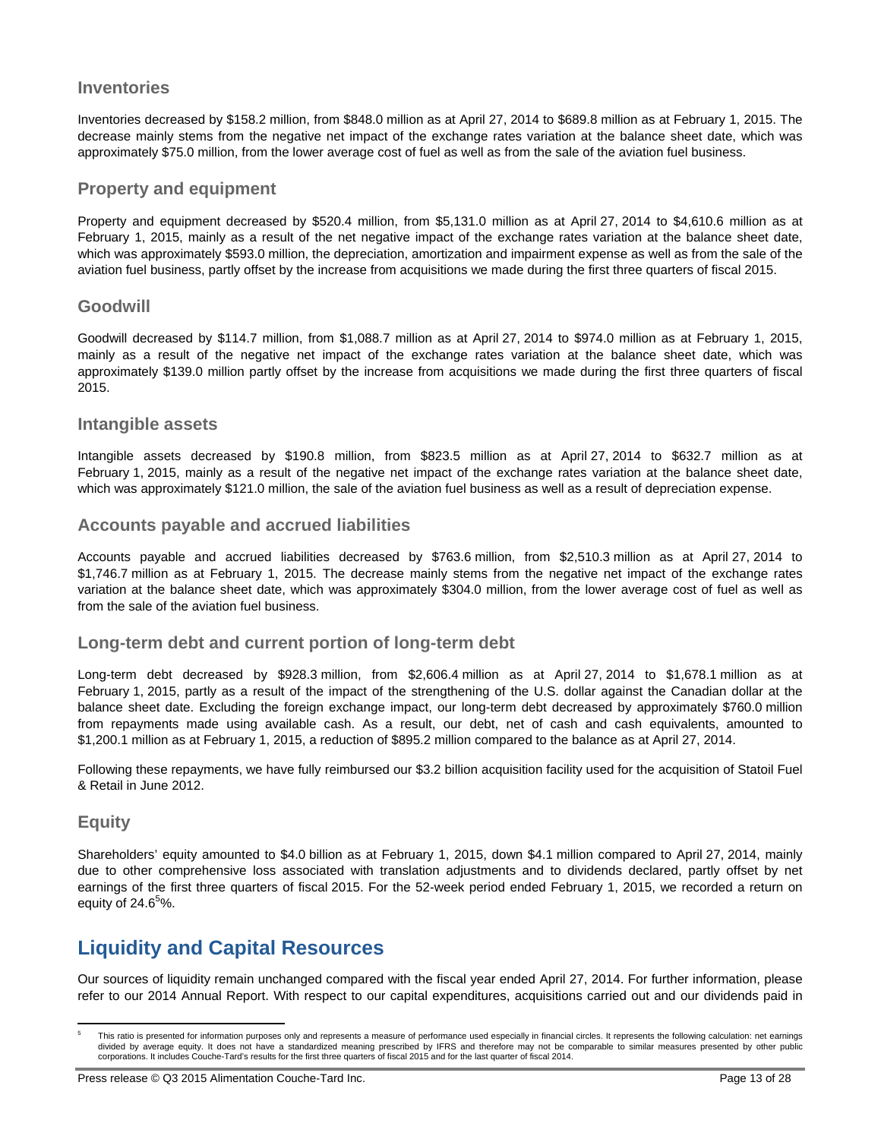## **Inventories**

Inventories decreased by \$158.2 million, from \$848.0 million as at April 27, 2014 to \$689.8 million as at February 1, 2015. The decrease mainly stems from the negative net impact of the exchange rates variation at the balance sheet date, which was approximately \$75.0 million, from the lower average cost of fuel as well as from the sale of the aviation fuel business.

## **Property and equipment**

Property and equipment decreased by \$520.4 million, from \$5,131.0 million as at April 27, 2014 to \$4,610.6 million as at February 1, 2015, mainly as a result of the net negative impact of the exchange rates variation at the balance sheet date, which was approximately \$593.0 million, the depreciation, amortization and impairment expense as well as from the sale of the aviation fuel business, partly offset by the increase from acquisitions we made during the first three quarters of fiscal 2015.

## **Goodwill**

Goodwill decreased by \$114.7 million, from \$1,088.7 million as at April 27, 2014 to \$974.0 million as at February 1, 2015, mainly as a result of the negative net impact of the exchange rates variation at the balance sheet date, which was approximately \$139.0 million partly offset by the increase from acquisitions we made during the first three quarters of fiscal 2015.

### **Intangible assets**

Intangible assets decreased by \$190.8 million, from \$823.5 million as at April 27, 2014 to \$632.7 million as at February 1, 2015, mainly as a result of the negative net impact of the exchange rates variation at the balance sheet date, which was approximately \$121.0 million, the sale of the aviation fuel business as well as a result of depreciation expense.

## **Accounts payable and accrued liabilities**

Accounts payable and accrued liabilities decreased by \$763.6 million, from \$2,510.3 million as at April 27, 2014 to \$1,746.7 million as at February 1, 2015. The decrease mainly stems from the negative net impact of the exchange rates variation at the balance sheet date, which was approximately \$304.0 million, from the lower average cost of fuel as well as from the sale of the aviation fuel business.

## **Long-term debt and current portion of long-term debt**

Long-term debt decreased by \$928.3 million, from \$2,606.4 million as at April 27, 2014 to \$1,678.1 million as at February 1, 2015, partly as a result of the impact of the strengthening of the U.S. dollar against the Canadian dollar at the balance sheet date. Excluding the foreign exchange impact, our long-term debt decreased by approximately \$760.0 million from repayments made using available cash. As a result, our debt, net of cash and cash equivalents, amounted to \$1,200.1 million as at February 1, 2015, a reduction of \$895.2 million compared to the balance as at April 27, 2014.

Following these repayments, we have fully reimbursed our \$3.2 billion acquisition facility used for the acquisition of Statoil Fuel & Retail in June 2012.

## **Equity**

 $\overline{a}$ 

Shareholders' equity amounted to \$4.0 billion as at February 1, 2015, down \$4.1 million compared to April 27, 2014, mainly due to other comprehensive loss associated with translation adjustments and to dividends declared, partly offset by net earnings of the first three quarters of fiscal 2015. For the 52-week period ended February 1, 2015, we recorded a return on equity of 24.6 $5\%$ .

# **Liquidity and Capital Resources**

Our sources of liquidity remain unchanged compared with the fiscal year ended April 27, 2014. For further information, please refer to our 2014 Annual Report. With respect to our capital expenditures, acquisitions carried out and our dividends paid in

<sup>5</sup> This ratio is presented for information purposes only and represents a measure of performance used especially in financial circles. It represents the following calculation: net earnings divided by average equity. It does not have a standardized meaning prescribed by IFRS and therefore may not be comparable to similar measures presented by other public<br>corporations. It includes Couche-Tard's results for th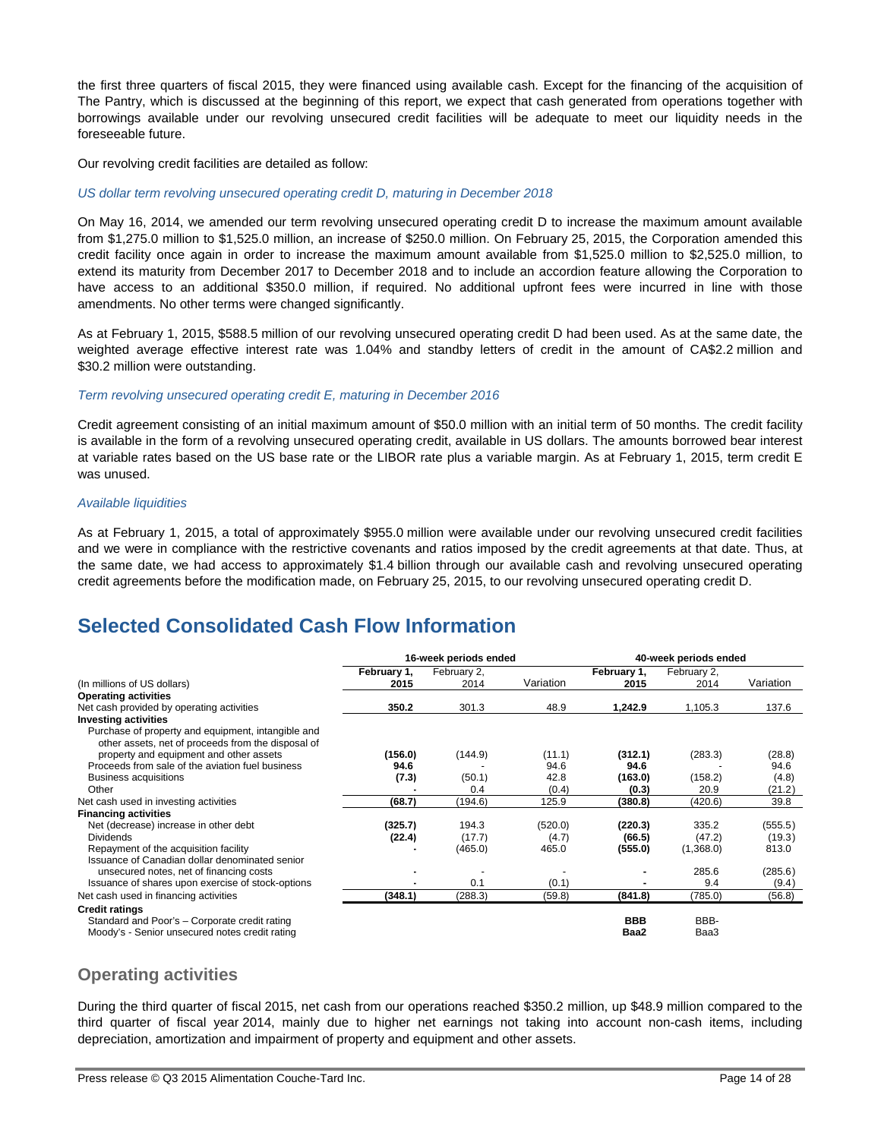the first three quarters of fiscal 2015, they were financed using available cash. Except for the financing of the acquisition of The Pantry, which is discussed at the beginning of this report, we expect that cash generated from operations together with borrowings available under our revolving unsecured credit facilities will be adequate to meet our liquidity needs in the foreseeable future.

Our revolving credit facilities are detailed as follow:

#### *US dollar term revolving unsecured operating credit D, maturing in December 2018*

On May 16, 2014, we amended our term revolving unsecured operating credit D to increase the maximum amount available from \$1,275.0 million to \$1,525.0 million, an increase of \$250.0 million. On February 25, 2015, the Corporation amended this credit facility once again in order to increase the maximum amount available from \$1,525.0 million to \$2,525.0 million, to extend its maturity from December 2017 to December 2018 and to include an accordion feature allowing the Corporation to have access to an additional \$350.0 million, if required. No additional upfront fees were incurred in line with those amendments. No other terms were changed significantly.

As at February 1, 2015, \$588.5 million of our revolving unsecured operating credit D had been used. As at the same date, the weighted average effective interest rate was 1.04% and standby letters of credit in the amount of CA\$2.2 million and \$30.2 million were outstanding.

#### *Term revolving unsecured operating credit E, maturing in December 2016*

Credit agreement consisting of an initial maximum amount of \$50.0 million with an initial term of 50 months. The credit facility is available in the form of a revolving unsecured operating credit, available in US dollars. The amounts borrowed bear interest at variable rates based on the US base rate or the LIBOR rate plus a variable margin. As at February 1, 2015, term credit E was unused.

#### *Available liquidities*

As at February 1, 2015, a total of approximately \$955.0 million were available under our revolving unsecured credit facilities and we were in compliance with the restrictive covenants and ratios imposed by the credit agreements at that date. Thus, at the same date, we had access to approximately \$1.4 billion through our available cash and revolving unsecured operating credit agreements before the modification made, on February 25, 2015, to our revolving unsecured operating credit D.

# **Selected Consolidated Cash Flow Information**

|                                                                                                          | 16-week periods ended |                     | 40-week periods ended |                     |                     |           |
|----------------------------------------------------------------------------------------------------------|-----------------------|---------------------|-----------------------|---------------------|---------------------|-----------|
| (In millions of US dollars)                                                                              | February 1,<br>2015   | February 2,<br>2014 | Variation             | February 1,<br>2015 | February 2,<br>2014 | Variation |
| <b>Operating activities</b>                                                                              |                       |                     |                       |                     |                     |           |
| Net cash provided by operating activities                                                                | 350.2                 | 301.3               | 48.9                  | 1,242.9             | 1,105.3             | 137.6     |
| <b>Investing activities</b>                                                                              |                       |                     |                       |                     |                     |           |
| Purchase of property and equipment, intangible and<br>other assets, net of proceeds from the disposal of |                       |                     |                       |                     |                     |           |
| property and equipment and other assets                                                                  | (156.0)               | (144.9)             | (11.1)                | (312.1)             | (283.3)             | (28.8)    |
| Proceeds from sale of the aviation fuel business                                                         | 94.6                  |                     | 94.6                  | 94.6                |                     | 94.6      |
| Business acquisitions                                                                                    | (7.3)                 | (50.1)              | 42.8                  | (163.0)             | (158.2)             | (4.8)     |
| Other                                                                                                    |                       | 0.4                 | (0.4)                 | (0.3)               | 20.9                | (21.2)    |
| Net cash used in investing activities                                                                    | (68.7)                | (194.6)             | 125.9                 | (380.8)             | (420.6)             | 39.8      |
| <b>Financing activities</b>                                                                              |                       |                     |                       |                     |                     |           |
| Net (decrease) increase in other debt                                                                    | (325.7)               | 194.3               | (520.0)               | (220.3)             | 335.2               | (555.5)   |
| <b>Dividends</b>                                                                                         | (22.4)                | (17.7)              | (4.7)                 | (66.5)              | (47.2)              | (19.3)    |
| Repayment of the acquisition facility                                                                    |                       | (465.0)             | 465.0                 | (555.0)             | (1,368.0)           | 813.0     |
| Issuance of Canadian dollar denominated senior                                                           |                       |                     |                       |                     |                     |           |
| unsecured notes, net of financing costs                                                                  |                       |                     |                       |                     | 285.6               | (285.6)   |
| Issuance of shares upon exercise of stock-options                                                        |                       | 0.1                 | (0.1)                 |                     | 9.4                 | (9.4)     |
| Net cash used in financing activities                                                                    | (348.1)               | (288.3)             | (59.8)                | (841.8)             | (785.0)             | (56.8)    |
| <b>Credit ratings</b>                                                                                    |                       |                     |                       |                     |                     |           |
| Standard and Poor's - Corporate credit rating                                                            |                       |                     |                       | <b>BBB</b>          | BBB-                |           |
| Moody's - Senior unsecured notes credit rating                                                           |                       |                     |                       | Baa2                | Baa3                |           |

## **Operating activities**

During the third quarter of fiscal 2015, net cash from our operations reached \$350.2 million, up \$48.9 million compared to the third quarter of fiscal year 2014, mainly due to higher net earnings not taking into account non-cash items, including depreciation, amortization and impairment of property and equipment and other assets.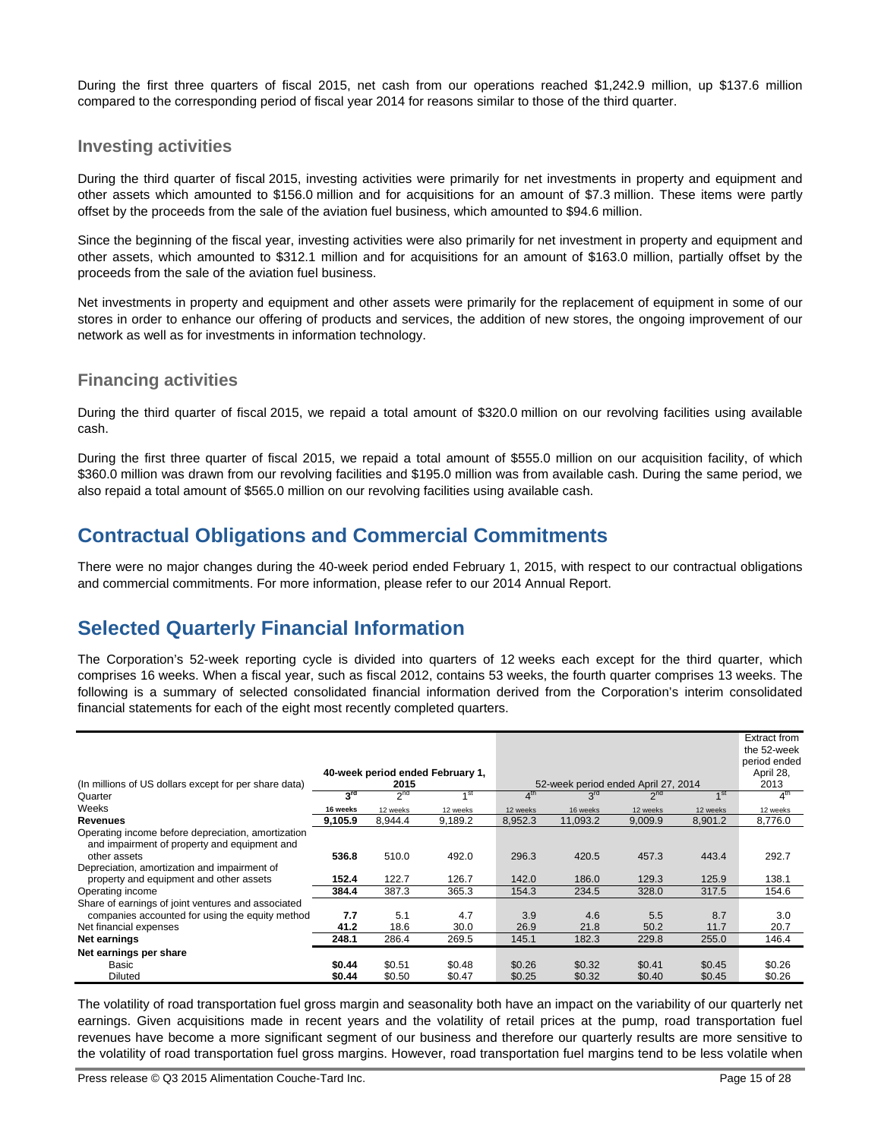During the first three quarters of fiscal 2015, net cash from our operations reached \$1,242.9 million, up \$137.6 million compared to the corresponding period of fiscal year 2014 for reasons similar to those of the third quarter.

## **Investing activities**

During the third quarter of fiscal 2015, investing activities were primarily for net investments in property and equipment and other assets which amounted to \$156.0 million and for acquisitions for an amount of \$7.3 million. These items were partly offset by the proceeds from the sale of the aviation fuel business, which amounted to \$94.6 million.

Since the beginning of the fiscal year, investing activities were also primarily for net investment in property and equipment and other assets, which amounted to \$312.1 million and for acquisitions for an amount of \$163.0 million, partially offset by the proceeds from the sale of the aviation fuel business.

Net investments in property and equipment and other assets were primarily for the replacement of equipment in some of our stores in order to enhance our offering of products and services, the addition of new stores, the ongoing improvement of our network as well as for investments in information technology.

## **Financing activities**

During the third quarter of fiscal 2015, we repaid a total amount of \$320.0 million on our revolving facilities using available cash.

During the first three quarter of fiscal 2015, we repaid a total amount of \$555.0 million on our acquisition facility, of which \$360.0 million was drawn from our revolving facilities and \$195.0 million was from available cash. During the same period, we also repaid a total amount of \$565.0 million on our revolving facilities using available cash.

# **Contractual Obligations and Commercial Commitments**

There were no major changes during the 40-week period ended February 1, 2015, with respect to our contractual obligations and commercial commitments. For more information, please refer to our 2014 Annual Report.

# **Selected Quarterly Financial Information**

The Corporation's 52-week reporting cycle is divided into quarters of 12 weeks each except for the third quarter, which comprises 16 weeks. When a fiscal year, such as fiscal 2012, contains 53 weeks, the fourth quarter comprises 13 weeks. The following is a summary of selected consolidated financial information derived from the Corporation's interim consolidated financial statements for each of the eight most recently completed quarters.

| (In millions of US dollars except for per share data)                                                                           |                 | 2015            | 40-week period ended February 1, |                 | 52-week period ended April 27, 2014 |                 |                 | Extract from<br>the 52-week<br>period ended<br>April 28,<br>2013 |
|---------------------------------------------------------------------------------------------------------------------------------|-----------------|-----------------|----------------------------------|-----------------|-------------------------------------|-----------------|-----------------|------------------------------------------------------------------|
| Quarter                                                                                                                         | 3 <sup>rd</sup> | 2 <sup>nd</sup> | 4 <sup>st</sup>                  | 4 <sup>th</sup> | 3 <sup>rd</sup>                     | 2 <sup>nd</sup> | 1 <sup>st</sup> | 4 <sup>th</sup>                                                  |
| Weeks                                                                                                                           | 16 weeks        | 12 weeks        | 12 weeks                         | 12 weeks        | 16 weeks                            | 12 weeks        | 12 weeks        | 12 weeks                                                         |
| <b>Revenues</b>                                                                                                                 | 9.105.9         | 8,944.4         | 9,189.2                          | 8,952.3         | 11,093.2                            | 9,009.9         | 8,901.2         | 8,776.0                                                          |
| Operating income before depreciation, amortization<br>and impairment of property and equipment and<br>other assets              | 536.8           | 510.0           | 492.0                            | 296.3           | 420.5                               | 457.3           | 443.4           | 292.7                                                            |
| Depreciation, amortization and impairment of<br>property and equipment and other assets                                         | 152.4           | 122.7           | 126.7                            | 142.0           | 186.0                               | 129.3           | 125.9           | 138.1                                                            |
| Operating income                                                                                                                | 384.4           | 387.3           | 365.3                            | 154.3           | 234.5                               | 328.0           | 317.5           | 154.6                                                            |
| Share of earnings of joint ventures and associated<br>companies accounted for using the equity method<br>Net financial expenses | 7.7<br>41.2     | 5.1<br>18.6     | 4.7<br>30.0                      | 3.9<br>26.9     | 4.6<br>21.8                         | 5.5<br>50.2     | 8.7<br>11.7     | 3.0<br>20.7                                                      |
| Net earnings                                                                                                                    | 248.1           | 286.4           | 269.5                            | 145.1           | 182.3                               | 229.8           | 255.0           | 146.4                                                            |
| Net earnings per share                                                                                                          |                 |                 |                                  |                 |                                     |                 |                 |                                                                  |
| Basic                                                                                                                           | \$0.44          | \$0.51          | \$0.48                           | \$0.26          | \$0.32                              | \$0.41          | \$0.45          | \$0.26                                                           |
| Diluted                                                                                                                         | \$0.44          | \$0.50          | \$0.47                           | \$0.25          | \$0.32                              | \$0.40          | \$0.45          | \$0.26                                                           |

The volatility of road transportation fuel gross margin and seasonality both have an impact on the variability of our quarterly net earnings. Given acquisitions made in recent years and the volatility of retail prices at the pump, road transportation fuel revenues have become a more significant segment of our business and therefore our quarterly results are more sensitive to the volatility of road transportation fuel gross margins. However, road transportation fuel margins tend to be less volatile when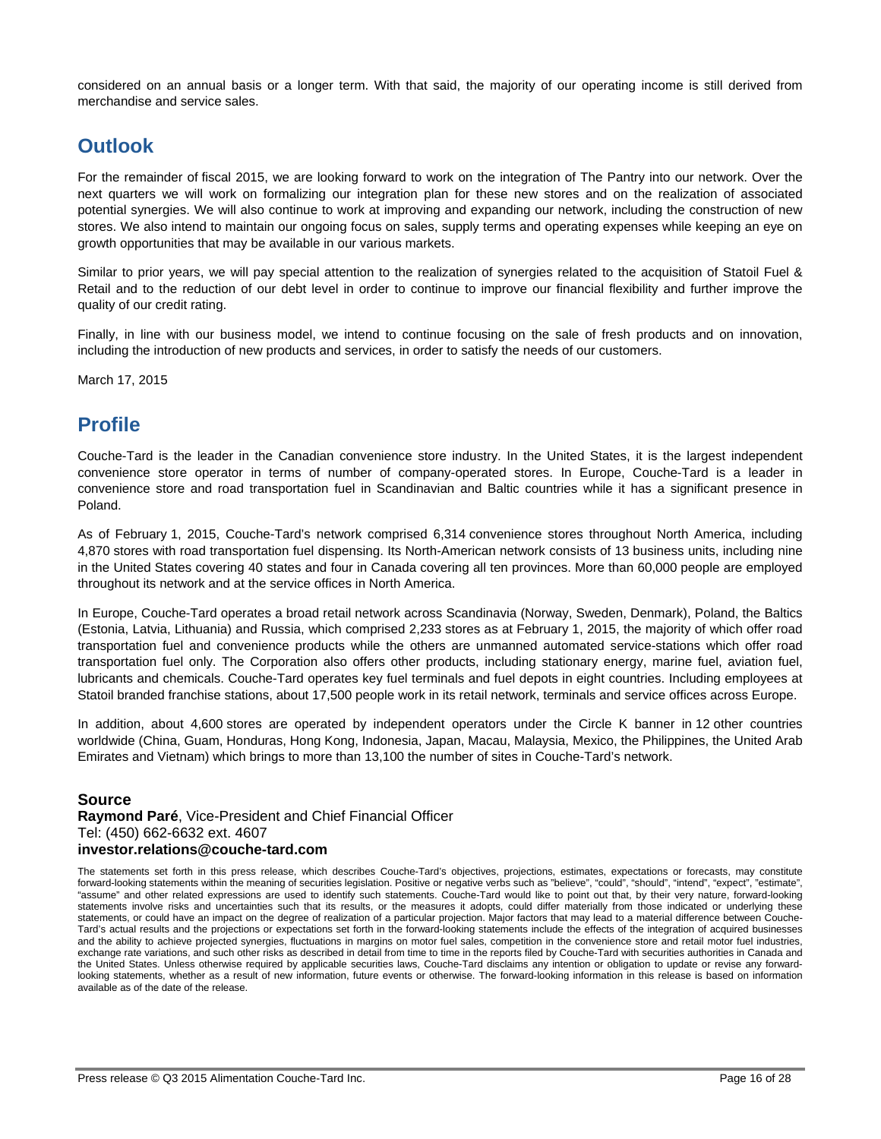considered on an annual basis or a longer term. With that said, the majority of our operating income is still derived from merchandise and service sales.

# **Outlook**

For the remainder of fiscal 2015, we are looking forward to work on the integration of The Pantry into our network. Over the next quarters we will work on formalizing our integration plan for these new stores and on the realization of associated potential synergies. We will also continue to work at improving and expanding our network, including the construction of new stores. We also intend to maintain our ongoing focus on sales, supply terms and operating expenses while keeping an eye on growth opportunities that may be available in our various markets.

Similar to prior years, we will pay special attention to the realization of synergies related to the acquisition of Statoil Fuel & Retail and to the reduction of our debt level in order to continue to improve our financial flexibility and further improve the quality of our credit rating.

Finally, in line with our business model, we intend to continue focusing on the sale of fresh products and on innovation, including the introduction of new products and services, in order to satisfy the needs of our customers.

March 17, 2015

# **Profile**

Couche-Tard is the leader in the Canadian convenience store industry. In the United States, it is the largest independent convenience store operator in terms of number of company-operated stores. In Europe, Couche-Tard is a leader in convenience store and road transportation fuel in Scandinavian and Baltic countries while it has a significant presence in Poland.

As of February 1, 2015, Couche-Tard's network comprised 6,314 convenience stores throughout North America, including 4,870 stores with road transportation fuel dispensing. Its North-American network consists of 13 business units, including nine in the United States covering 40 states and four in Canada covering all ten provinces. More than 60,000 people are employed throughout its network and at the service offices in North America.

In Europe, Couche-Tard operates a broad retail network across Scandinavia (Norway, Sweden, Denmark), Poland, the Baltics (Estonia, Latvia, Lithuania) and Russia, which comprised 2,233 stores as at February 1, 2015, the majority of which offer road transportation fuel and convenience products while the others are unmanned automated service-stations which offer road transportation fuel only. The Corporation also offers other products, including stationary energy, marine fuel, aviation fuel, lubricants and chemicals. Couche-Tard operates key fuel terminals and fuel depots in eight countries. Including employees at Statoil branded franchise stations, about 17,500 people work in its retail network, terminals and service offices across Europe.

In addition, about 4,600 stores are operated by independent operators under the Circle K banner in 12 other countries worldwide (China, Guam, Honduras, Hong Kong, Indonesia, Japan, Macau, Malaysia, Mexico, the Philippines, the United Arab Emirates and Vietnam) which brings to more than 13,100 the number of sites in Couche-Tard's network.

## **Source**

**Raymond Paré**, Vice-President and Chief Financial Officer Tel: (450) 662-6632 ext. 4607 **investor.relations@couche-tard.com** 

The statements set forth in this press release, which describes Couche-Tard's objectives, projections, estimates, expectations or forecasts, may constitute forward-looking statements within the meaning of securities legislation. Positive or negative verbs such as "believe", "could", "should", "intend", "expect", "estimate", "assume" and other related expressions are used to identify such statements. Couche-Tard would like to point out that, by their very nature, forward-looking statements involve risks and uncertainties such that its results, or the measures it adopts, could differ materially from those indicated or underlying these statements, or could have an impact on the degree of realization of a particular projection. Major factors that may lead to a material difference between Couche-Tard's actual results and the projections or expectations set forth in the forward-looking statements include the effects of the integration of acquired businesses and the ability to achieve projected synergies, fluctuations in margins on motor fuel sales, competition in the convenience store and retail motor fuel industries, exchange rate variations, and such other risks as described in detail from time to time in the reports filed by Couche-Tard with securities authorities in Canada and the United States. Unless otherwise required by applicable securities laws, Couche-Tard disclaims any intention or obligation to update or revise any forwardlooking statements, whether as a result of new information, future events or otherwise. The forward-looking information in this release is based on information available as of the date of the release.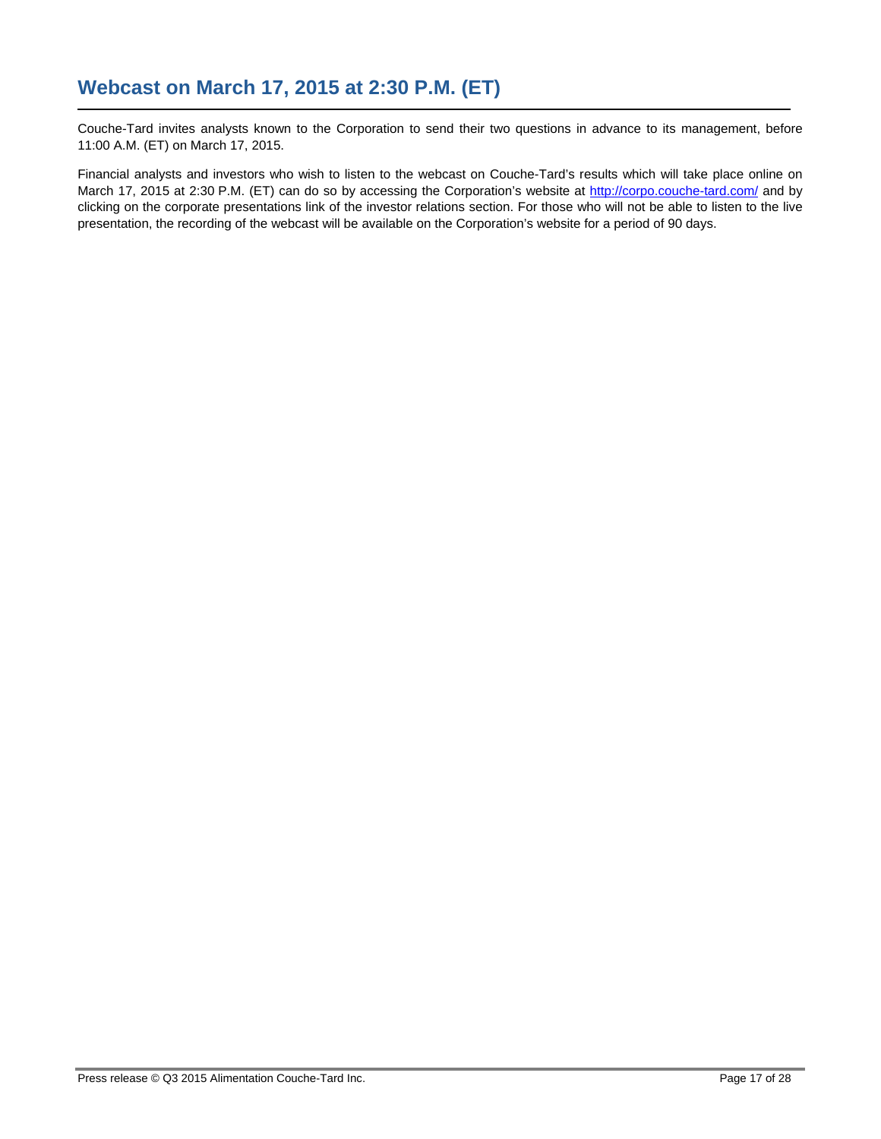Couche-Tard invites analysts known to the Corporation to send their two questions in advance to its management, before 11:00 A.M. (ET) on March 17, 2015.

Financial analysts and investors who wish to listen to the webcast on Couche-Tard's results which will take place online on March 17, 2015 at 2:30 P.M. (ET) can do so by accessing the Corporation's website at http://corpo.couche-tard.com/ and by clicking on the corporate presentations link of the investor relations section. For those who will not be able to listen to the live presentation, the recording of the webcast will be available on the Corporation's website for a period of 90 days.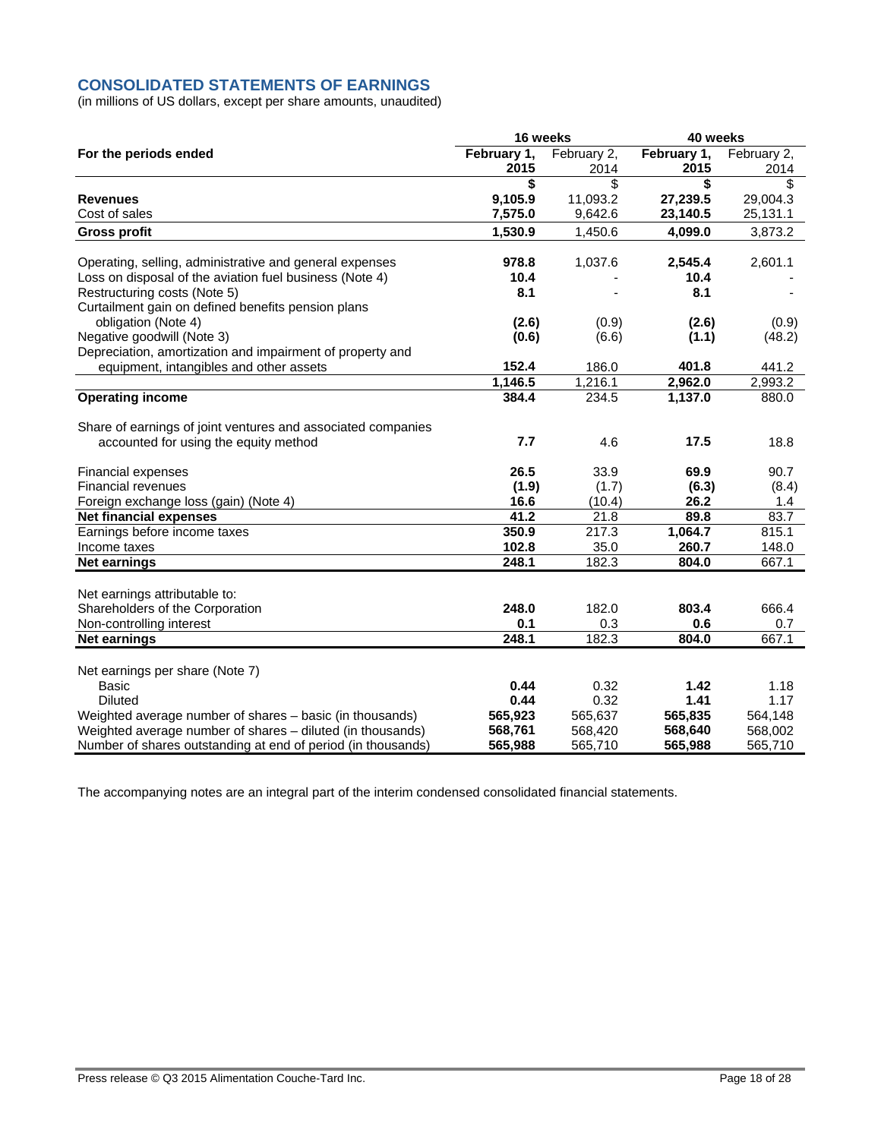## **CONSOLIDATED STATEMENTS OF EARNINGS**

(in millions of US dollars, except per share amounts, unaudited)

|                                                                                                                            | 16 weeks           |                    | 40 weeks           |                    |  |
|----------------------------------------------------------------------------------------------------------------------------|--------------------|--------------------|--------------------|--------------------|--|
| For the periods ended                                                                                                      | February 1,        | February 2,        | February 1,        | February 2,        |  |
|                                                                                                                            | 2015               | 2014               | 2015               | 2014               |  |
|                                                                                                                            | \$                 | \$                 | \$                 | \$                 |  |
| <b>Revenues</b>                                                                                                            | 9,105.9            | 11,093.2           | 27,239.5           | 29.004.3           |  |
| Cost of sales                                                                                                              | 7,575.0            | 9,642.6            | 23,140.5           | 25,131.1           |  |
| <b>Gross profit</b>                                                                                                        | 1,530.9            | 1.450.6            | 4,099.0            | 3,873.2            |  |
| Operating, selling, administrative and general expenses                                                                    | 978.8              | 1,037.6            | 2,545.4            | 2,601.1            |  |
| Loss on disposal of the aviation fuel business (Note 4)                                                                    | 10.4               |                    | 10.4               |                    |  |
| Restructuring costs (Note 5)                                                                                               | 8.1                |                    | 8.1                |                    |  |
| Curtailment gain on defined benefits pension plans                                                                         |                    |                    |                    |                    |  |
| obligation (Note 4)                                                                                                        | (2.6)              | (0.9)              | (2.6)              | (0.9)              |  |
| Negative goodwill (Note 3)                                                                                                 | (0.6)              | (6.6)              | (1.1)              | (48.2)             |  |
| Depreciation, amortization and impairment of property and                                                                  |                    |                    |                    |                    |  |
| equipment, intangibles and other assets                                                                                    | 152.4              | 186.0              | 401.8              | 441.2              |  |
|                                                                                                                            | 1,146.5            | 1,216.1            | 2,962.0            | 2,993.2            |  |
| <b>Operating income</b>                                                                                                    | 384.4              | 234.5              | 1,137.0            | 880.0              |  |
| Share of earnings of joint ventures and associated companies                                                               |                    |                    |                    |                    |  |
| accounted for using the equity method                                                                                      | 7.7                | 4.6                | 17.5               | 18.8               |  |
| Financial expenses                                                                                                         | 26.5               | 33.9               | 69.9               | 90.7               |  |
| <b>Financial revenues</b>                                                                                                  | (1.9)              | (1.7)              | (6.3)              | (8.4)              |  |
| Foreign exchange loss (gain) (Note 4)                                                                                      | 16.6               | (10.4)             | 26.2               | 1.4                |  |
| <b>Net financial expenses</b>                                                                                              | 41.2               | 21.8               | 89.8               | 83.7               |  |
| Earnings before income taxes                                                                                               | 350.9              | 217.3              | 1,064.7            | 815.1              |  |
| Income taxes                                                                                                               | 102.8              | 35.0               | 260.7              | 148.0              |  |
| <b>Net earnings</b>                                                                                                        | 248.1              | 182.3              | 804.0              | 667.1              |  |
| Net earnings attributable to:                                                                                              |                    |                    |                    |                    |  |
| Shareholders of the Corporation                                                                                            | 248.0              | 182.0              | 803.4              | 666.4              |  |
| Non-controlling interest                                                                                                   | 0.1                | 0.3                | 0.6                | 0.7                |  |
| Net earnings                                                                                                               | 248.1              | 182.3              | 804.0              | 667.1              |  |
|                                                                                                                            |                    |                    |                    |                    |  |
| Net earnings per share (Note 7)                                                                                            |                    |                    |                    |                    |  |
| <b>Basic</b>                                                                                                               | 0.44<br>0.44       | 0.32<br>0.32       | 1.42<br>1.41       | 1.18<br>1.17       |  |
| <b>Diluted</b>                                                                                                             |                    |                    |                    |                    |  |
| Weighted average number of shares - basic (in thousands)                                                                   | 565,923            | 565,637<br>568,420 | 565,835<br>568,640 | 564,148            |  |
| Weighted average number of shares - diluted (in thousands)<br>Number of shares outstanding at end of period (in thousands) | 568,761<br>565,988 | 565,710            | 565,988            | 568,002<br>565,710 |  |
|                                                                                                                            |                    |                    |                    |                    |  |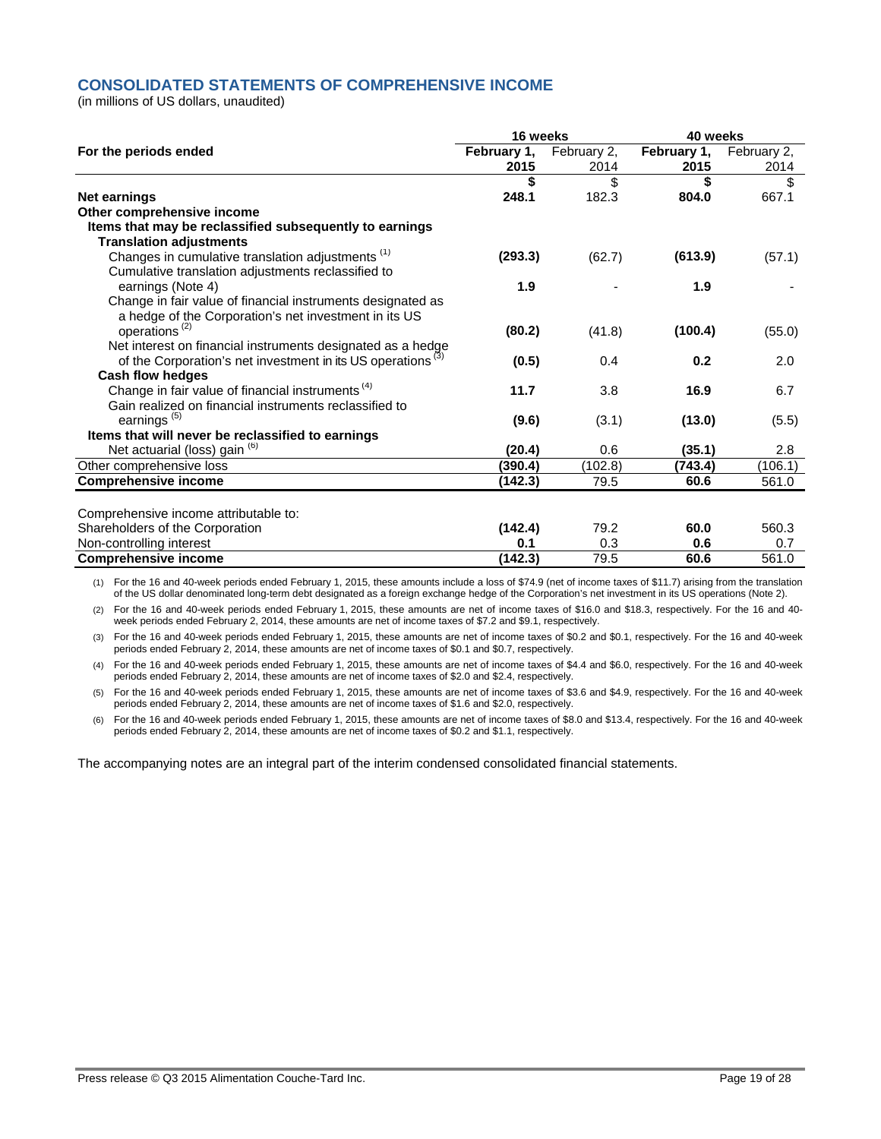### **CONSOLIDATED STATEMENTS OF COMPREHENSIVE INCOME**

(in millions of US dollars, unaudited)

|                                                                         | 16 weeks    |             | 40 weeks    |             |  |
|-------------------------------------------------------------------------|-------------|-------------|-------------|-------------|--|
| For the periods ended                                                   | February 1, | February 2, | February 1, | February 2, |  |
|                                                                         | 2015        | 2014        | 2015        | 2014        |  |
|                                                                         | \$          | \$          | \$          | \$          |  |
| <b>Net earnings</b>                                                     | 248.1       | 182.3       | 804.0       | 667.1       |  |
| Other comprehensive income                                              |             |             |             |             |  |
| Items that may be reclassified subsequently to earnings                 |             |             |             |             |  |
| <b>Translation adjustments</b>                                          |             |             |             |             |  |
| Changes in cumulative translation adjustments <sup>(1)</sup>            | (293.3)     | (62.7)      | (613.9)     | (57.1)      |  |
| Cumulative translation adjustments reclassified to                      |             |             |             |             |  |
| earnings (Note 4)                                                       | 1.9         |             | 1.9         |             |  |
| Change in fair value of financial instruments designated as             |             |             |             |             |  |
| a hedge of the Corporation's net investment in its US                   |             |             |             |             |  |
| operations <sup>(2)</sup>                                               | (80.2)      | (41.8)      | (100.4)     | (55.0)      |  |
| Net interest on financial instruments designated as a hedge             |             |             |             |             |  |
| of the Corporation's net investment in its US operations <sup>(3)</sup> | (0.5)       | 0.4         | 0.2         | 2.0         |  |
| Cash flow hedges                                                        |             |             |             |             |  |
| Change in fair value of financial instruments <sup>(4)</sup>            | 11.7        | 3.8         | 16.9        | 6.7         |  |
| Gain realized on financial instruments reclassified to                  |             |             |             |             |  |
| earnings <sup>(5)</sup>                                                 | (9.6)       | (3.1)       | (13.0)      | (5.5)       |  |
| Items that will never be reclassified to earnings                       |             |             |             |             |  |
| Net actuarial (loss) gain (6)                                           | (20.4)      | 0.6         | (35.1)      | 2.8         |  |
| Other comprehensive loss                                                | (390.4)     | (102.8)     | (743.4)     | (106.1)     |  |
| <b>Comprehensive income</b>                                             | (142.3)     | 79.5        | 60.6        | 561.0       |  |
|                                                                         |             |             |             |             |  |
| Comprehensive income attributable to:                                   |             |             |             |             |  |
| Shareholders of the Corporation                                         | (142.4)     | 79.2        | 60.0        | 560.3       |  |
| Non-controlling interest                                                | 0.1         | 0.3         | 0.6         | 0.7         |  |
| <b>Comprehensive income</b>                                             | (142.3)     | 79.5        | 60.6        | 561.0       |  |

(1) For the 16 and 40-week periods ended February 1, 2015, these amounts include a loss of \$74.9 (net of income taxes of \$11.7) arising from the translation of the US dollar denominated long-term debt designated as a foreign exchange hedge of the Corporation's net investment in its US operations (Note 2).

(2) For the 16 and 40-week periods ended February 1, 2015, these amounts are net of income taxes of \$16.0 and \$18.3, respectively. For the 16 and 40 week periods ended February 2, 2014, these amounts are net of income taxes of \$7.2 and \$9.1, respectively.

(3) For the 16 and 40-week periods ended February 1, 2015, these amounts are net of income taxes of \$0.2 and \$0.1, respectively. For the 16 and 40-week periods ended February 2, 2014, these amounts are net of income taxes of \$0.1 and \$0.7, respectively.

(4) For the 16 and 40-week periods ended February 1, 2015, these amounts are net of income taxes of \$4.4 and \$6.0, respectively. For the 16 and 40-week periods ended February 2, 2014, these amounts are net of income taxes of \$2.0 and \$2.4, respectively.

(5) For the 16 and 40-week periods ended February 1, 2015, these amounts are net of income taxes of \$3.6 and \$4.9, respectively. For the 16 and 40-week periods ended February 2, 2014, these amounts are net of income taxes of \$1.6 and \$2.0, respectively.

(6) For the 16 and 40-week periods ended February 1, 2015, these amounts are net of income taxes of \$8.0 and \$13.4, respectively. For the 16 and 40-week periods ended February 2, 2014, these amounts are net of income taxes of \$0.2 and \$1.1, respectively.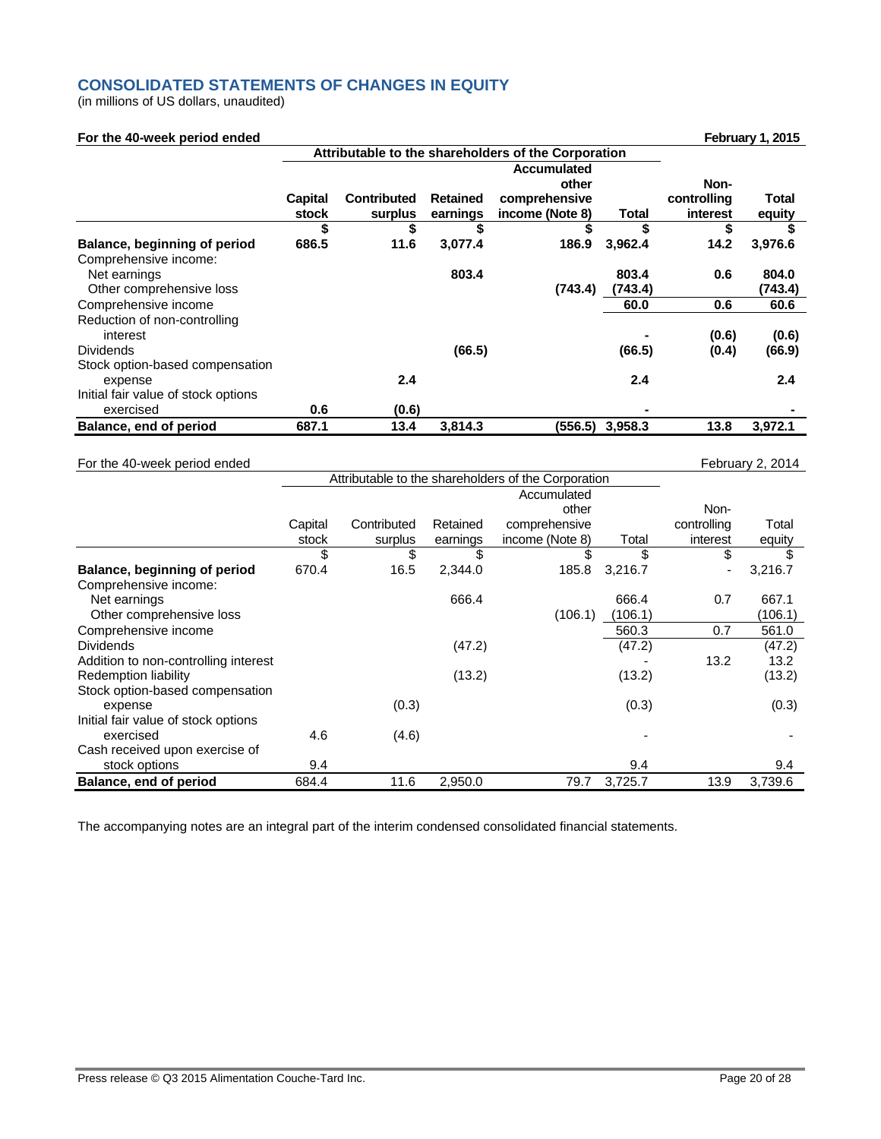## **CONSOLIDATED STATEMENTS OF CHANGES IN EQUITY**

(in millions of US dollars, unaudited)

| For the 40-week period ended             |                  |                               |                             |                                                     |         |                         | February 1, 2015 |
|------------------------------------------|------------------|-------------------------------|-----------------------------|-----------------------------------------------------|---------|-------------------------|------------------|
|                                          |                  |                               |                             | Attributable to the shareholders of the Corporation |         |                         |                  |
|                                          |                  |                               |                             | <b>Accumulated</b><br>other                         |         | Non-                    |                  |
|                                          | Capital<br>stock | <b>Contributed</b><br>surplus | <b>Retained</b><br>earnings | comprehensive<br>income (Note 8)                    | Total   | controlling<br>interest | Total<br>equity  |
|                                          | \$               | \$                            | \$                          | \$                                                  | \$      | \$                      |                  |
| Balance, beginning of period             | 686.5            | 11.6                          | 3,077.4                     | 186.9                                               | 3,962.4 | 14.2                    | 3,976.6          |
| Comprehensive income:                    |                  |                               |                             |                                                     |         |                         |                  |
| Net earnings                             |                  |                               | 803.4                       |                                                     | 803.4   | 0.6                     | 804.0            |
| Other comprehensive loss                 |                  |                               |                             | (743.4)                                             | (743.4) |                         | (743.4)          |
| Comprehensive income                     |                  |                               |                             |                                                     | 60.0    | 0.6                     | 60.6             |
| Reduction of non-controlling<br>interest |                  |                               |                             |                                                     |         | (0.6)                   | (0.6)            |
| <b>Dividends</b>                         |                  |                               | (66.5)                      |                                                     | (66.5)  | (0.4)                   | (66.9)           |
| Stock option-based compensation          |                  |                               |                             |                                                     |         |                         |                  |
| expense                                  |                  | 2.4                           |                             |                                                     | 2.4     |                         | 2.4              |
| Initial fair value of stock options      |                  |                               |                             |                                                     |         |                         |                  |
| exercised                                | 0.6              | (0.6)                         |                             |                                                     |         |                         |                  |
| Balance, end of period                   | 687.1            | 13.4                          | 3,814.3                     | (556.5)                                             | 3,958.3 | 13.8                    | 3,972.1          |

#### For the 40-week period ended February 2, 2014

|                                      |         | Attributable to the shareholders of the Corporation |          |                 |         |             |         |
|--------------------------------------|---------|-----------------------------------------------------|----------|-----------------|---------|-------------|---------|
|                                      |         |                                                     |          | Accumulated     |         |             |         |
|                                      |         |                                                     |          | other           |         | Non-        |         |
|                                      | Capital | Contributed                                         | Retained | comprehensive   |         | controlling | Total   |
|                                      | stock   | surplus                                             | earnings | income (Note 8) | Total   | interest    | equity  |
|                                      | \$      | \$                                                  | \$       | \$              | \$      | \$          | \$      |
| Balance, beginning of period         | 670.4   | 16.5                                                | 2,344.0  | 185.8           | 3,216.7 | ۰           | 3,216.7 |
| Comprehensive income:                |         |                                                     |          |                 |         |             |         |
| Net earnings                         |         |                                                     | 666.4    |                 | 666.4   | 0.7         | 667.1   |
| Other comprehensive loss             |         |                                                     |          | (106.1)         | (106.1) |             | (106.1) |
| Comprehensive income                 |         |                                                     |          |                 | 560.3   | 0.7         | 561.0   |
| <b>Dividends</b>                     |         |                                                     | (47.2)   |                 | (47.2)  |             | (47.2)  |
| Addition to non-controlling interest |         |                                                     |          |                 |         | 13.2        | 13.2    |
| Redemption liability                 |         |                                                     | (13.2)   |                 | (13.2)  |             | (13.2)  |
| Stock option-based compensation      |         |                                                     |          |                 |         |             |         |
| expense                              |         | (0.3)                                               |          |                 | (0.3)   |             | (0.3)   |
| Initial fair value of stock options  |         |                                                     |          |                 |         |             |         |
| exercised                            | 4.6     | (4.6)                                               |          |                 |         |             |         |
| Cash received upon exercise of       |         |                                                     |          |                 |         |             |         |
| stock options                        | 9.4     |                                                     |          |                 | 9.4     |             | 9.4     |
| Balance, end of period               | 684.4   | 11.6                                                | 2,950.0  | 79.7            | 3,725.7 | 13.9        | 3,739.6 |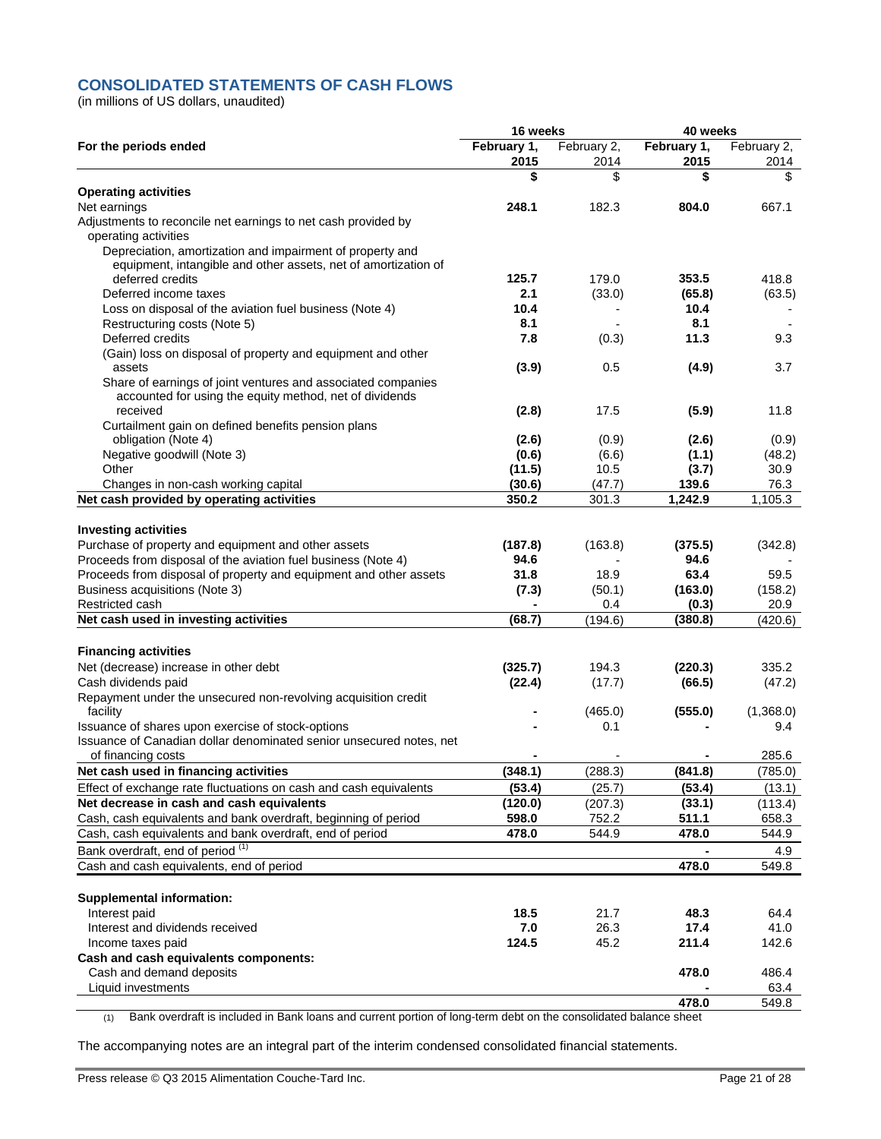## **CONSOLIDATED STATEMENTS OF CASH FLOWS**

(in millions of US dollars, unaudited)

|                                                                                       | 16 weeks            |                     | 40 weeks            |                     |  |
|---------------------------------------------------------------------------------------|---------------------|---------------------|---------------------|---------------------|--|
| For the periods ended                                                                 | February 1,<br>2015 | February 2,<br>2014 | February 1,<br>2015 | February 2,<br>2014 |  |
|                                                                                       | \$                  | \$                  | \$                  | \$                  |  |
| <b>Operating activities</b>                                                           |                     |                     |                     |                     |  |
| Net earnings                                                                          | 248.1               | 182.3               | 804.0               | 667.1               |  |
| Adjustments to reconcile net earnings to net cash provided by<br>operating activities |                     |                     |                     |                     |  |
| Depreciation, amortization and impairment of property and                             |                     |                     |                     |                     |  |
| equipment, intangible and other assets, net of amortization of                        |                     |                     |                     |                     |  |
| deferred credits                                                                      | 125.7               | 179.0               | 353.5               | 418.8               |  |
| Deferred income taxes                                                                 | 2.1                 | (33.0)              | (65.8)              | (63.5)              |  |
| Loss on disposal of the aviation fuel business (Note 4)                               | 10.4                |                     | 10.4                |                     |  |
| Restructuring costs (Note 5)                                                          | 8.1                 |                     | 8.1                 |                     |  |
| Deferred credits                                                                      | 7.8                 | (0.3)               | 11.3                | 9.3                 |  |
| (Gain) loss on disposal of property and equipment and other                           |                     |                     |                     |                     |  |
| assets                                                                                | (3.9)               | 0.5                 | (4.9)               | 3.7                 |  |
| Share of earnings of joint ventures and associated companies                          |                     |                     |                     |                     |  |
| accounted for using the equity method, net of dividends                               |                     |                     |                     |                     |  |
| received                                                                              | (2.8)               | 17.5                | (5.9)               | 11.8                |  |
| Curtailment gain on defined benefits pension plans                                    |                     |                     |                     |                     |  |
| obligation (Note 4)                                                                   | (2.6)               | (0.9)               | (2.6)               | (0.9)               |  |
| Negative goodwill (Note 3)                                                            | (0.6)               | (6.6)               | (1.1)               | (48.2)              |  |
| Other                                                                                 | (11.5)              | 10.5                | (3.7)               | 30.9                |  |
| Changes in non-cash working capital                                                   | (30.6)              | (47.7)              | 139.6               | 76.3                |  |
| Net cash provided by operating activities                                             | 350.2               | 301.3               | 1,242.9             | 1,105.3             |  |
|                                                                                       |                     |                     |                     |                     |  |
| <b>Investing activities</b>                                                           |                     |                     |                     |                     |  |
| Purchase of property and equipment and other assets                                   | (187.8)             | (163.8)             | (375.5)             | (342.8)             |  |
| Proceeds from disposal of the aviation fuel business (Note 4)                         | 94.6                |                     | 94.6                |                     |  |
| Proceeds from disposal of property and equipment and other assets                     | 31.8                | 18.9                | 63.4                | 59.5                |  |
| Business acquisitions (Note 3)                                                        | (7.3)               | (50.1)              | (163.0)             | (158.2)             |  |
| Restricted cash<br>Net cash used in investing activities                              | (68.7)              | 0.4<br>(194.6)      | (0.3)<br>(380.8)    | 20.9<br>(420.6)     |  |
|                                                                                       |                     |                     |                     |                     |  |
| <b>Financing activities</b>                                                           |                     |                     |                     |                     |  |
| Net (decrease) increase in other debt                                                 | (325.7)             | 194.3               | (220.3)             | 335.2               |  |
| Cash dividends paid                                                                   | (22.4)              | (17.7)              | (66.5)              | (47.2)              |  |
| Repayment under the unsecured non-revolving acquisition credit                        |                     |                     |                     |                     |  |
| facility                                                                              |                     | (465.0)             | (555.0)             | (1,368.0)           |  |
| Issuance of shares upon exercise of stock-options                                     |                     | 0.1                 |                     | 9.4                 |  |
| Issuance of Canadian dollar denominated senior unsecured notes, net                   |                     |                     |                     |                     |  |
| of financing costs                                                                    |                     |                     |                     | 285.6               |  |
| Net cash used in financing activities                                                 | (348.1)             | (288.3)             | (841.8)             | (785.0)             |  |
| Effect of exchange rate fluctuations on cash and cash equivalents                     | (53.4)              | (25.7)              | (53.4)              | (13.1)              |  |
| Net decrease in cash and cash equivalents                                             | (120.0)             | (207.3)             | (33.1)              | (113.4)             |  |
| Cash, cash equivalents and bank overdraft, beginning of period                        | 598.0               | 752.2               | 511.1               | 658.3               |  |
| Cash, cash equivalents and bank overdraft, end of period                              | 478.0               | 544.9               | 478.0               | 544.9               |  |
| Bank overdraft, end of period <sup>(1)</sup>                                          |                     |                     |                     | 4.9                 |  |
| Cash and cash equivalents, end of period                                              |                     |                     | 478.0               | 549.8               |  |
|                                                                                       |                     |                     |                     |                     |  |
| <b>Supplemental information:</b>                                                      |                     |                     |                     |                     |  |
| Interest paid                                                                         | 18.5                | 21.7                | 48.3                | 64.4                |  |
| Interest and dividends received                                                       | 7.0                 | 26.3                | 17.4                | 41.0                |  |
| Income taxes paid                                                                     | 124.5               | 45.2                | 211.4               | 142.6               |  |
| Cash and cash equivalents components:                                                 |                     |                     |                     |                     |  |
| Cash and demand deposits                                                              |                     |                     | 478.0               | 486.4               |  |
| Liquid investments                                                                    |                     |                     |                     | 63.4                |  |
|                                                                                       |                     |                     | 478.0               | 549.8               |  |

(1) Bank overdraft is included in Bank loans and current portion of long-term debt on the consolidated balance sheet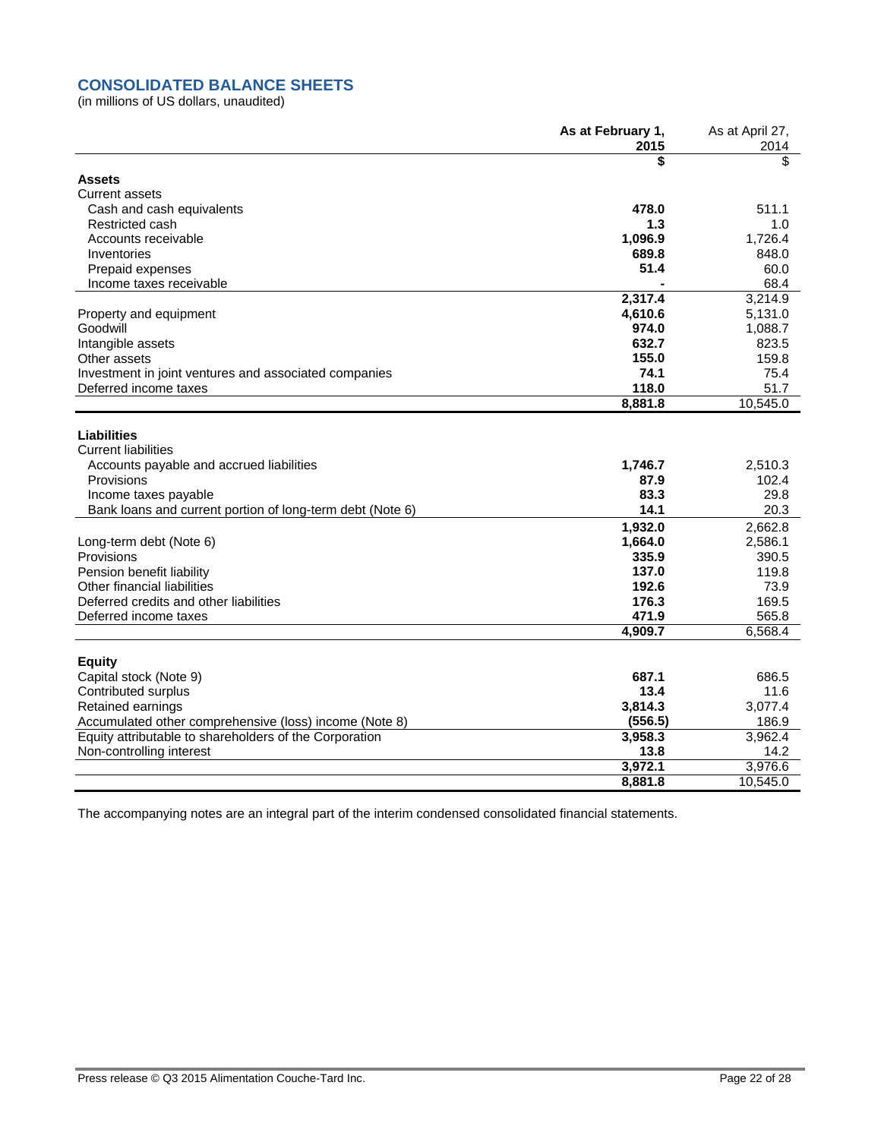## **CONSOLIDATED BALANCE SHEETS**

(in millions of US dollars, unaudited)

|                                                           | As at February 1,<br>2015 | As at April 27,<br>2014 |
|-----------------------------------------------------------|---------------------------|-------------------------|
|                                                           | \$                        | \$                      |
| <b>Assets</b>                                             |                           |                         |
| <b>Current assets</b>                                     |                           |                         |
| Cash and cash equivalents                                 | 478.0                     | 511.1                   |
| Restricted cash                                           | 1.3                       | 1.0                     |
| Accounts receivable                                       | 1,096.9                   | 1,726.4                 |
| Inventories                                               | 689.8                     | 848.0                   |
| Prepaid expenses                                          | 51.4                      | 60.0                    |
| Income taxes receivable                                   |                           | 68.4                    |
|                                                           | 2,317.4                   | 3,214.9                 |
| Property and equipment                                    | 4,610.6                   | 5,131.0                 |
| Goodwill                                                  | 974.0                     | 1,088.7                 |
| Intangible assets                                         | 632.7                     | 823.5                   |
| Other assets                                              | 155.0                     | 159.8                   |
| Investment in joint ventures and associated companies     | 74.1                      | 75.4                    |
| Deferred income taxes                                     | 118.0                     | 51.7                    |
|                                                           | 8,881.8                   | 10,545.0                |
| <b>Liabilities</b><br><b>Current liabilities</b>          |                           |                         |
| Accounts payable and accrued liabilities                  | 1,746.7                   | 2,510.3                 |
| Provisions                                                | 87.9                      | 102.4                   |
| Income taxes payable                                      | 83.3                      | 29.8                    |
| Bank loans and current portion of long-term debt (Note 6) | 14.1                      | 20.3                    |
|                                                           | 1,932.0                   | 2,662.8                 |
| Long-term debt (Note 6)                                   | 1,664.0                   | 2,586.1                 |
| Provisions                                                | 335.9                     | 390.5                   |
| Pension benefit liability                                 | 137.0                     | 119.8                   |
| Other financial liabilities                               | 192.6                     | 73.9                    |
| Deferred credits and other liabilities                    | 176.3                     | 169.5                   |
| Deferred income taxes                                     | 471.9                     | 565.8                   |
|                                                           | 4,909.7                   | 6,568.4                 |
|                                                           |                           |                         |
| <b>Equity</b>                                             |                           |                         |
| Capital stock (Note 9)                                    | 687.1                     | 686.5                   |
| Contributed surplus                                       | 13.4                      | 11.6                    |
| Retained earnings                                         | 3,814.3                   | 3,077.4                 |
| Accumulated other comprehensive (loss) income (Note 8)    | (556.5)                   | 186.9                   |
| Equity attributable to shareholders of the Corporation    | 3,958.3                   | 3,962.4                 |
| Non-controlling interest                                  | 13.8                      | 14.2                    |
|                                                           | 3,972.1                   | 3,976.6                 |
|                                                           | 8,881.8                   | 10,545.0                |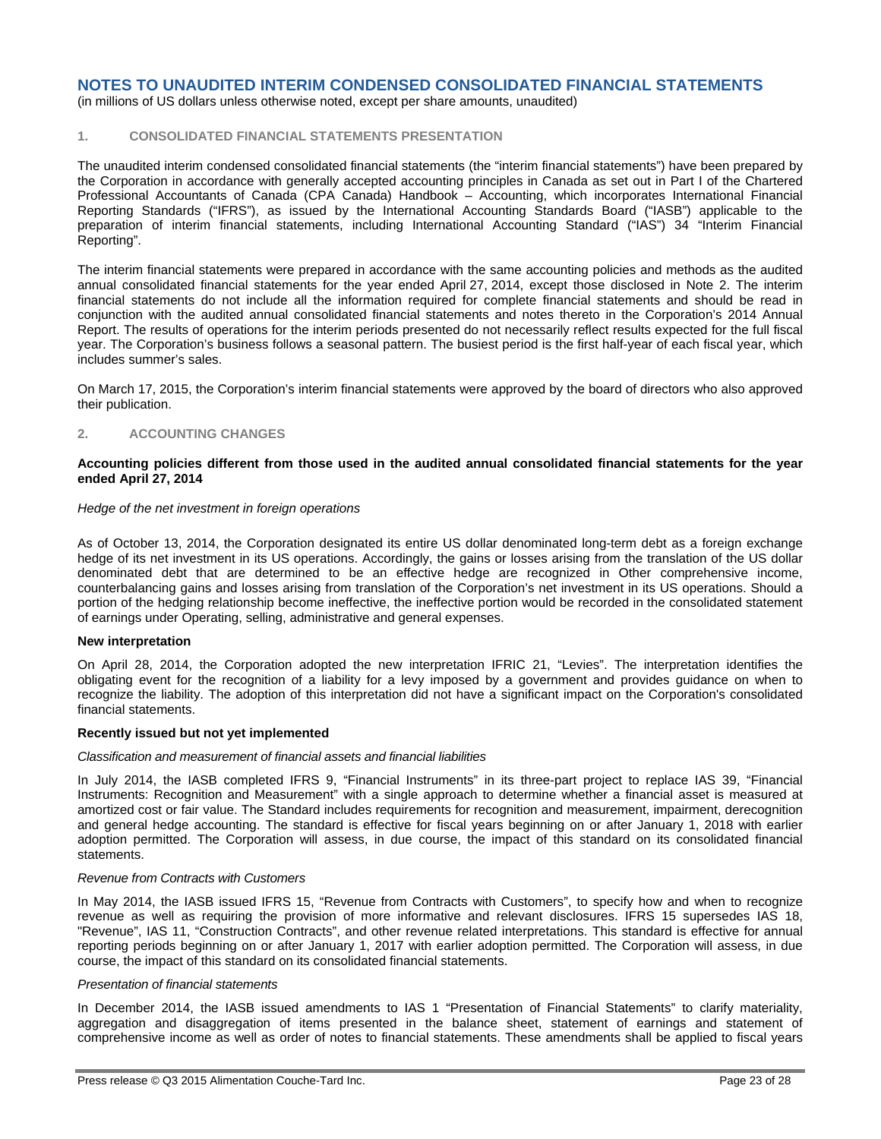(in millions of US dollars unless otherwise noted, except per share amounts, unaudited)

### **1. CONSOLIDATED FINANCIAL STATEMENTS PRESENTATION**

The unaudited interim condensed consolidated financial statements (the "interim financial statements") have been prepared by the Corporation in accordance with generally accepted accounting principles in Canada as set out in Part I of the Chartered Professional Accountants of Canada (CPA Canada) Handbook – Accounting, which incorporates International Financial Reporting Standards ("IFRS"), as issued by the International Accounting Standards Board ("IASB") applicable to the preparation of interim financial statements, including International Accounting Standard ("IAS") 34 "Interim Financial Reporting".

The interim financial statements were prepared in accordance with the same accounting policies and methods as the audited annual consolidated financial statements for the year ended April 27, 2014, except those disclosed in Note 2. The interim financial statements do not include all the information required for complete financial statements and should be read in conjunction with the audited annual consolidated financial statements and notes thereto in the Corporation's 2014 Annual Report. The results of operations for the interim periods presented do not necessarily reflect results expected for the full fiscal year. The Corporation's business follows a seasonal pattern. The busiest period is the first half-year of each fiscal year, which includes summer's sales.

On March 17, 2015, the Corporation's interim financial statements were approved by the board of directors who also approved their publication.

#### **2. ACCOUNTING CHANGES**

#### **Accounting policies different from those used in the audited annual consolidated financial statements for the year ended April 27, 2014**

#### *Hedge of the net investment in foreign operations*

As of October 13, 2014, the Corporation designated its entire US dollar denominated long-term debt as a foreign exchange hedge of its net investment in its US operations. Accordingly, the gains or losses arising from the translation of the US dollar denominated debt that are determined to be an effective hedge are recognized in Other comprehensive income, counterbalancing gains and losses arising from translation of the Corporation's net investment in its US operations. Should a portion of the hedging relationship become ineffective, the ineffective portion would be recorded in the consolidated statement of earnings under Operating, selling, administrative and general expenses.

#### **New interpretation**

On April 28, 2014, the Corporation adopted the new interpretation IFRIC 21, "Levies". The interpretation identifies the obligating event for the recognition of a liability for a levy imposed by a government and provides guidance on when to recognize the liability. The adoption of this interpretation did not have a significant impact on the Corporation's consolidated financial statements.

#### **Recently issued but not yet implemented**

#### *Classification and measurement of financial assets and financial liabilities*

In July 2014, the IASB completed IFRS 9, "Financial Instruments" in its three-part project to replace IAS 39, "Financial Instruments: Recognition and Measurement" with a single approach to determine whether a financial asset is measured at amortized cost or fair value. The Standard includes requirements for recognition and measurement, impairment, derecognition and general hedge accounting. The standard is effective for fiscal years beginning on or after January 1, 2018 with earlier adoption permitted. The Corporation will assess, in due course, the impact of this standard on its consolidated financial statements.

#### *Revenue from Contracts with Customers*

In May 2014, the IASB issued IFRS 15, "Revenue from Contracts with Customers", to specify how and when to recognize revenue as well as requiring the provision of more informative and relevant disclosures. IFRS 15 supersedes IAS 18, "Revenue", IAS 11, "Construction Contracts", and other revenue related interpretations. This standard is effective for annual reporting periods beginning on or after January 1, 2017 with earlier adoption permitted. The Corporation will assess, in due course, the impact of this standard on its consolidated financial statements.

#### *Presentation of financial statements*

In December 2014, the IASB issued amendments to IAS 1 "Presentation of Financial Statements" to clarify materiality, aggregation and disaggregation of items presented in the balance sheet, statement of earnings and statement of comprehensive income as well as order of notes to financial statements. These amendments shall be applied to fiscal years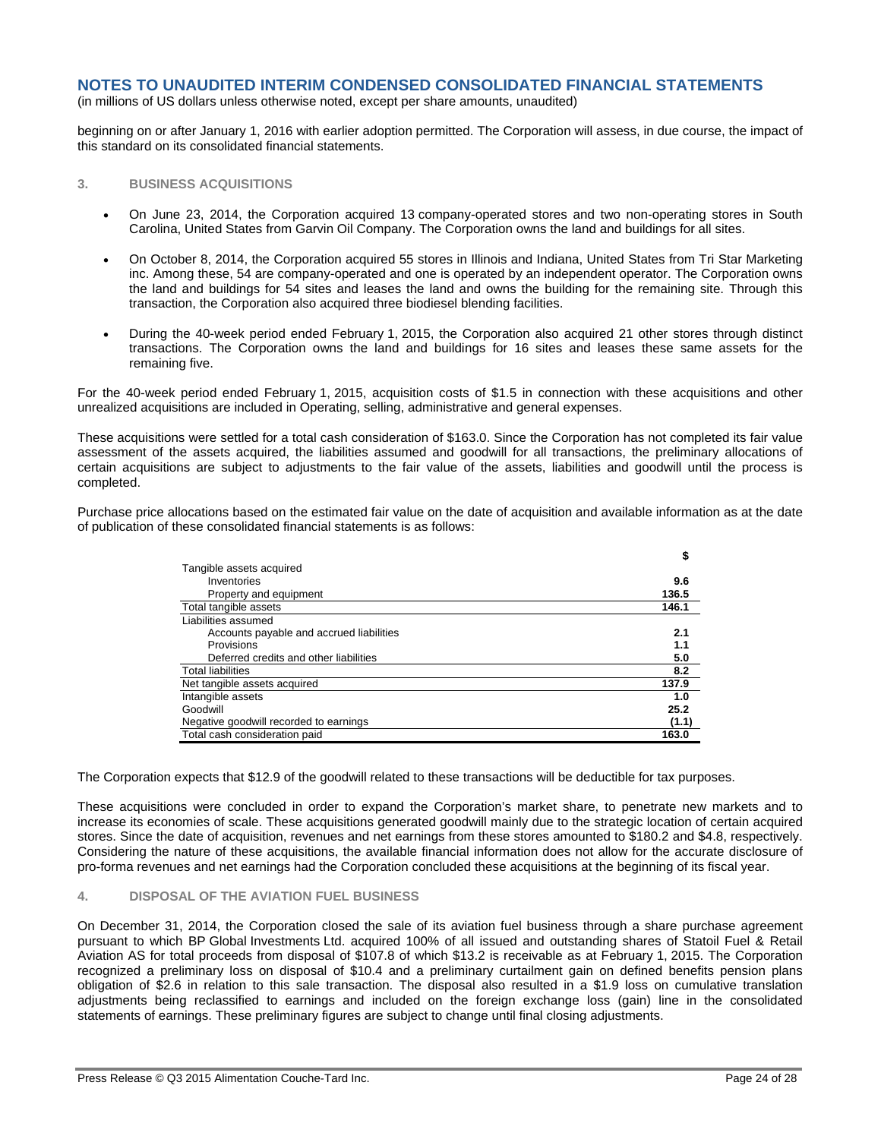(in millions of US dollars unless otherwise noted, except per share amounts, unaudited)

beginning on or after January 1, 2016 with earlier adoption permitted. The Corporation will assess, in due course, the impact of this standard on its consolidated financial statements.

## **3. BUSINESS ACQUISITIONS**

- On June 23, 2014, the Corporation acquired 13 company-operated stores and two non-operating stores in South Carolina, United States from Garvin Oil Company. The Corporation owns the land and buildings for all sites.
- On October 8, 2014, the Corporation acquired 55 stores in Illinois and Indiana, United States from Tri Star Marketing inc. Among these, 54 are company-operated and one is operated by an independent operator. The Corporation owns the land and buildings for 54 sites and leases the land and owns the building for the remaining site. Through this transaction, the Corporation also acquired three biodiesel blending facilities.
- During the 40-week period ended February 1, 2015, the Corporation also acquired 21 other stores through distinct transactions. The Corporation owns the land and buildings for 16 sites and leases these same assets for the remaining five.

For the 40-week period ended February 1, 2015, acquisition costs of \$1.5 in connection with these acquisitions and other unrealized acquisitions are included in Operating, selling, administrative and general expenses.

These acquisitions were settled for a total cash consideration of \$163.0. Since the Corporation has not completed its fair value assessment of the assets acquired, the liabilities assumed and goodwill for all transactions, the preliminary allocations of certain acquisitions are subject to adjustments to the fair value of the assets, liabilities and goodwill until the process is completed.

Purchase price allocations based on the estimated fair value on the date of acquisition and available information as at the date of publication of these consolidated financial statements is as follows:

|                                          | \$    |
|------------------------------------------|-------|
| Tangible assets acquired                 |       |
| Inventories                              | 9.6   |
| Property and equipment                   | 136.5 |
| Total tangible assets                    | 146.1 |
| Liabilities assumed                      |       |
| Accounts payable and accrued liabilities | 2.1   |
| Provisions                               | 1.1   |
| Deferred credits and other liabilities   | 5.0   |
| <b>Total liabilities</b>                 | 8.2   |
| Net tangible assets acquired             | 137.9 |
| Intangible assets                        | 1.0   |
| Goodwill                                 | 25.2  |
| Negative goodwill recorded to earnings   | (1.1) |
| Total cash consideration paid            | 163.0 |

The Corporation expects that \$12.9 of the goodwill related to these transactions will be deductible for tax purposes.

These acquisitions were concluded in order to expand the Corporation's market share, to penetrate new markets and to increase its economies of scale. These acquisitions generated goodwill mainly due to the strategic location of certain acquired stores. Since the date of acquisition, revenues and net earnings from these stores amounted to \$180.2 and \$4.8, respectively. Considering the nature of these acquisitions, the available financial information does not allow for the accurate disclosure of pro-forma revenues and net earnings had the Corporation concluded these acquisitions at the beginning of its fiscal year.

#### **4. DISPOSAL OF THE AVIATION FUEL BUSINESS**

On December 31, 2014, the Corporation closed the sale of its aviation fuel business through a share purchase agreement pursuant to which BP Global Investments Ltd. acquired 100% of all issued and outstanding shares of Statoil Fuel & Retail Aviation AS for total proceeds from disposal of \$107.8 of which \$13.2 is receivable as at February 1, 2015. The Corporation recognized a preliminary loss on disposal of \$10.4 and a preliminary curtailment gain on defined benefits pension plans obligation of \$2.6 in relation to this sale transaction. The disposal also resulted in a \$1.9 loss on cumulative translation adjustments being reclassified to earnings and included on the foreign exchange loss (gain) line in the consolidated statements of earnings. These preliminary figures are subject to change until final closing adjustments.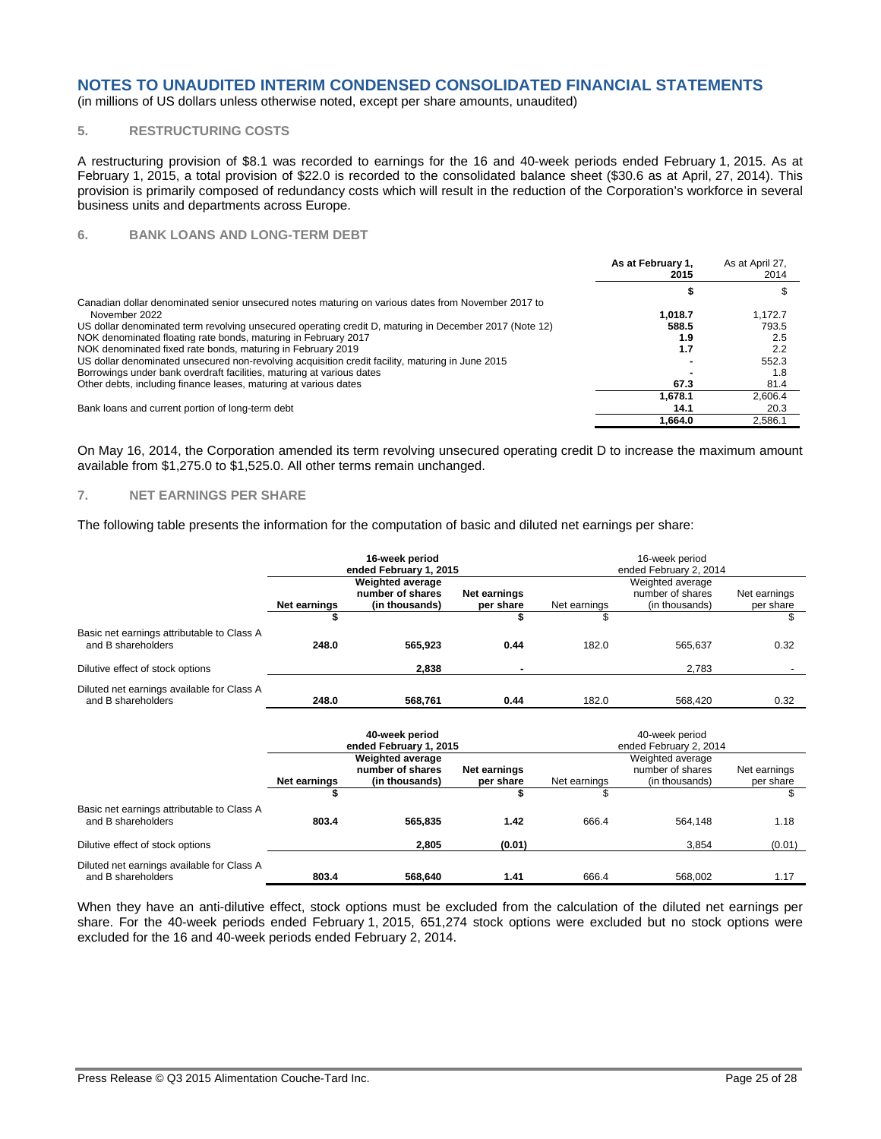(in millions of US dollars unless otherwise noted, except per share amounts, unaudited)

#### **5. RESTRUCTURING COSTS**

A restructuring provision of \$8.1 was recorded to earnings for the 16 and 40-week periods ended February 1, 2015. As at February 1, 2015, a total provision of \$22.0 is recorded to the consolidated balance sheet (\$30.6 as at April, 27, 2014). This provision is primarily composed of redundancy costs which will result in the reduction of the Corporation's workforce in several business units and departments across Europe.

#### **6. BANK LOANS AND LONG-TERM DEBT**

|                                                                                                        | As at February 1,<br>2015 | As at April 27,<br>2014 |
|--------------------------------------------------------------------------------------------------------|---------------------------|-------------------------|
|                                                                                                        |                           |                         |
| Canadian dollar denominated senior unsecured notes maturing on various dates from November 2017 to     |                           |                         |
| November 2022                                                                                          | 1.018.7                   | 1.172.7                 |
| US dollar denominated term revolving unsecured operating credit D, maturing in December 2017 (Note 12) | 588.5                     | 793.5                   |
| NOK denominated floating rate bonds, maturing in February 2017                                         | 1.9                       | 2.5                     |
| NOK denominated fixed rate bonds, maturing in February 2019                                            | 1.7                       | 2.2                     |
| US dollar denominated unsecured non-revolving acquisition credit facility, maturing in June 2015       |                           | 552.3                   |
| Borrowings under bank overdraft facilities, maturing at various dates                                  |                           | 1.8                     |
| Other debts, including finance leases, maturing at various dates                                       | 67.3                      | 81.4                    |
|                                                                                                        | 1.678.1                   | 2.606.4                 |
| Bank loans and current portion of long-term debt                                                       | 14.1                      | 20.3                    |
|                                                                                                        | 1.664.0                   | 2,586.1                 |

On May 16, 2014, the Corporation amended its term revolving unsecured operating credit D to increase the maximum amount available from \$1,275.0 to \$1,525.0. All other terms remain unchanged.

#### **7. NET EARNINGS PER SHARE**

The following table presents the information for the computation of basic and diluted net earnings per share:

|                                                                  |              | 16-week period<br>ended February 1, 2015                      |                                | 16-week period<br>ended February 2, 2014 |                                                        |                                 |  |
|------------------------------------------------------------------|--------------|---------------------------------------------------------------|--------------------------------|------------------------------------------|--------------------------------------------------------|---------------------------------|--|
|                                                                  | Net earnings | <b>Weighted average</b><br>number of shares<br>(in thousands) | Net earnings<br>per share<br>S | Net earnings                             | Weighted average<br>number of shares<br>(in thousands) | Net earnings<br>per share<br>\$ |  |
| Basic net earnings attributable to Class A<br>and B shareholders | 248.0        | 565,923                                                       | 0.44                           | 182.0                                    | 565,637                                                | 0.32                            |  |
| Dilutive effect of stock options                                 |              | 2,838                                                         | $\blacksquare$                 |                                          | 2,783                                                  |                                 |  |
| Diluted net earnings available for Class A<br>and B shareholders | 248.0        | 568,761                                                       | 0.44                           | 182.0                                    | 568.420                                                | 0.32                            |  |
|                                                                  |              | 40-week period<br>ended February 1, 2015                      |                                |                                          | 40-week period<br>ended February 2, 2014               |                                 |  |
|                                                                  | Net earnings | <b>Weighted average</b><br>number of shares<br>(in thousands) | Net earnings<br>per share      | Net earnings                             | Weighted average<br>number of shares<br>(in thousands) | Net earnings<br>per share       |  |
|                                                                  | \$           |                                                               | \$                             | \$                                       |                                                        | \$                              |  |
| Basic net earnings attributable to Class A<br>and B shareholders | 803.4        | 565,835                                                       | 1.42                           | 666.4                                    | 564.148                                                | 1.18                            |  |
| Dilutive effect of stock options                                 |              | 2,805                                                         | (0.01)                         |                                          | 3,854                                                  | (0.01)                          |  |
| Diluted net earnings available for Class A<br>and B shareholders | 803.4        | 568,640                                                       | 1.41                           | 666.4                                    | 568.002                                                | 1.17                            |  |

When they have an anti-dilutive effect, stock options must be excluded from the calculation of the diluted net earnings per share. For the 40-week periods ended February 1, 2015, 651,274 stock options were excluded but no stock options were excluded for the 16 and 40-week periods ended February 2, 2014.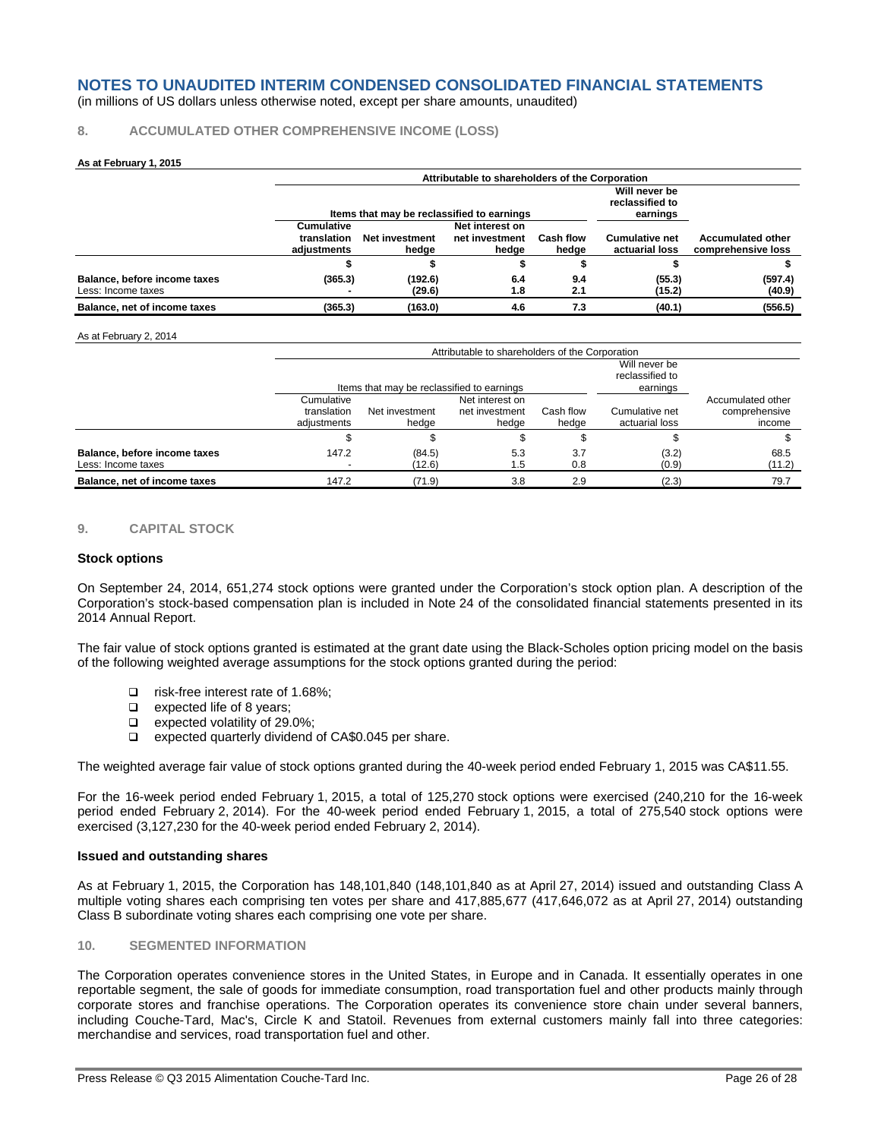(in millions of US dollars unless otherwise noted, except per share amounts, unaudited)

#### **8. ACCUMULATED OTHER COMPREHENSIVE INCOME (LOSS)**

#### **As at February 1, 2015**

|                              |                   | Attributable to shareholders of the Corporation |                 |           |                                  |                          |  |  |
|------------------------------|-------------------|-------------------------------------------------|-----------------|-----------|----------------------------------|--------------------------|--|--|
|                              |                   |                                                 |                 |           | Will never be<br>reclassified to |                          |  |  |
|                              |                   | Items that may be reclassified to earnings      |                 |           | earnings                         |                          |  |  |
|                              | <b>Cumulative</b> |                                                 | Net interest on |           |                                  |                          |  |  |
|                              | translation       | <b>Net investment</b>                           | net investment  | Cash flow | <b>Cumulative net</b>            | <b>Accumulated other</b> |  |  |
|                              | adiustments       | hedge                                           | hedae           | hedge     | actuarial loss                   | comprehensive loss       |  |  |
|                              |                   |                                                 |                 |           |                                  |                          |  |  |
| Balance, before income taxes | (365.3)           | (192.6)                                         | 6.4             | 9.4       | (55.3)                           | (597.4)                  |  |  |
| Less: Income taxes           |                   | (29.6)                                          | 1.8             | 2.1       | (15.2)                           | (40.9)                   |  |  |
| Balance, net of income taxes | (365.3)           | (163.0)                                         | 4.6             | 7.3       | (40.1)                           | (556.5)                  |  |  |

#### As at February 2, 2014

|                                                    |                                          | Attributable to shareholders of the Corporation |                                              |                    |                                  |                                              |  |  |  |  |
|----------------------------------------------------|------------------------------------------|-------------------------------------------------|----------------------------------------------|--------------------|----------------------------------|----------------------------------------------|--|--|--|--|
|                                                    |                                          | Items that may be reclassified to earnings      | Will never be<br>reclassified to<br>earnings |                    |                                  |                                              |  |  |  |  |
|                                                    | Cumulative<br>translation<br>adiustments | Net investment<br>hedae                         | Net interest on<br>net investment<br>hedae   | Cash flow<br>hedge | Cumulative net<br>actuarial loss | Accumulated other<br>comprehensive<br>income |  |  |  |  |
|                                                    |                                          |                                                 |                                              |                    |                                  |                                              |  |  |  |  |
| Balance, before income taxes<br>Less: Income taxes | 147.2                                    | (84.5)<br>(12.6)                                | 5.3<br>1.5                                   | 3.7<br>0.8         | (3.2)<br>(0.9)                   | 68.5<br>(11.2)                               |  |  |  |  |
| Balance, net of income taxes                       | 147.2                                    | (71.9)                                          | 3.8                                          | 2.9                | (2.3)                            | 79.7                                         |  |  |  |  |

#### **9. CAPITAL STOCK**

#### **Stock options**

On September 24, 2014, 651,274 stock options were granted under the Corporation's stock option plan. A description of the Corporation's stock-based compensation plan is included in Note 24 of the consolidated financial statements presented in its 2014 Annual Report.

The fair value of stock options granted is estimated at the grant date using the Black-Scholes option pricing model on the basis of the following weighted average assumptions for the stock options granted during the period:

- □ risk-free interest rate of 1.68%:
- **Expected life of 8 years:**
- □ expected volatility of 29.0%;
- □ expected quarterly dividend of CA\$0.045 per share.

The weighted average fair value of stock options granted during the 40-week period ended February 1, 2015 was CA\$11.55.

For the 16-week period ended February 1, 2015, a total of 125,270 stock options were exercised (240,210 for the 16-week period ended February 2, 2014). For the 40-week period ended February 1, 2015, a total of 275,540 stock options were exercised (3,127,230 for the 40-week period ended February 2, 2014).

#### **Issued and outstanding shares**

As at February 1, 2015, the Corporation has 148,101,840 (148,101,840 as at April 27, 2014) issued and outstanding Class A multiple voting shares each comprising ten votes per share and 417,885,677 (417,646,072 as at April 27, 2014) outstanding Class B subordinate voting shares each comprising one vote per share.

#### **10. SEGMENTED INFORMATION**

The Corporation operates convenience stores in the United States, in Europe and in Canada. It essentially operates in one reportable segment, the sale of goods for immediate consumption, road transportation fuel and other products mainly through corporate stores and franchise operations. The Corporation operates its convenience store chain under several banners, including Couche-Tard, Mac's, Circle K and Statoil. Revenues from external customers mainly fall into three categories: merchandise and services, road transportation fuel and other.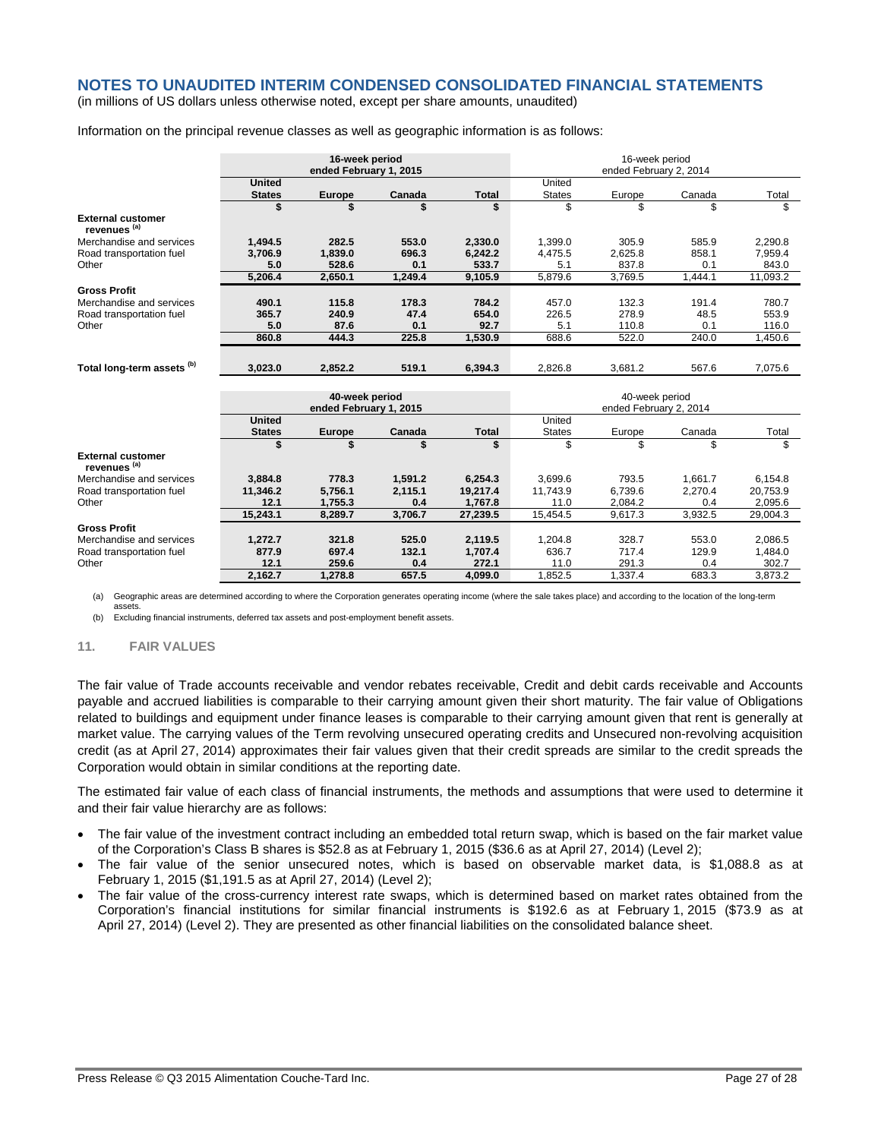(in millions of US dollars unless otherwise noted, except per share amounts, unaudited)

Information on the principal revenue classes as well as geographic information is as follows:

|                                                     | 16-week period<br>ended February 1, 2015 |               |         |              | 16-week period<br>ended February 2, 2014 |         |         |          |
|-----------------------------------------------------|------------------------------------------|---------------|---------|--------------|------------------------------------------|---------|---------|----------|
|                                                     | <b>United</b>                            |               |         |              | United                                   |         |         |          |
|                                                     | <b>States</b>                            | <b>Europe</b> | Canada  | <b>Total</b> | <b>States</b>                            | Europe  | Canada  | Total    |
|                                                     | \$                                       |               | \$      | \$           | \$                                       | \$      | \$      | \$       |
| <b>External customer</b><br>revenues <sup>(a)</sup> |                                          |               |         |              |                                          |         |         |          |
| Merchandise and services                            | 1,494.5                                  | 282.5         | 553.0   | 2,330.0      | 1,399.0                                  | 305.9   | 585.9   | 2,290.8  |
| Road transportation fuel                            | 3,706.9                                  | 1,839.0       | 696.3   | 6,242.2      | 4,475.5                                  | 2,625.8 | 858.1   | 7,959.4  |
| Other                                               | 5.0                                      | 528.6         | 0.1     | 533.7        | 5.1                                      | 837.8   | 0.1     | 843.0    |
|                                                     | 5.206.4                                  | 2,650.1       | 1,249.4 | 9,105.9      | 5,879.6                                  | 3,769.5 | 1,444.1 | 11,093.2 |
| <b>Gross Profit</b>                                 |                                          |               |         |              |                                          |         |         |          |
| Merchandise and services                            | 490.1                                    | 115.8         | 178.3   | 784.2        | 457.0                                    | 132.3   | 191.4   | 780.7    |
| Road transportation fuel                            | 365.7                                    | 240.9         | 47.4    | 654.0        | 226.5                                    | 278.9   | 48.5    | 553.9    |
| Other                                               | 5.0                                      | 87.6          | 0.1     | 92.7         | 5.1                                      | 110.8   | 0.1     | 116.0    |
|                                                     | 860.8                                    | 444.3         | 225.8   | 1.530.9      | 688.6                                    | 522.0   | 240.0   | 1,450.6  |
|                                                     |                                          |               |         |              |                                          |         |         |          |
| Total long-term assets <sup>(b)</sup>               | 3.023.0                                  | 2.852.2       | 519.1   | 6.394.3      | 2.826.8                                  | 3,681.2 | 567.6   | 7,075.6  |
|                                                     | 40-week period<br>ended February 1, 2015 |               |         |              | 40-week period                           |         |         |          |
|                                                     |                                          |               |         |              | ended February 2, 2014                   |         |         |          |
|                                                     | <b>United</b>                            |               |         |              | United                                   |         |         |          |
|                                                     | <b>States</b>                            | Europe        | Canada  | <b>Total</b> | <b>States</b>                            | Europe  | Canada  | Total    |
|                                                     | \$                                       | \$            | \$      | \$           | \$                                       | \$      | \$      | \$       |
| <b>External customer</b><br>revenues <sup>(a)</sup> |                                          |               |         |              |                                          |         |         |          |
| Merchandise and services                            | 3,884.8                                  | 778.3         | 1,591.2 | 6,254.3      | 3,699.6                                  | 793.5   | 1,661.7 | 6,154.8  |
| Road transportation fuel                            | 11.346.2                                 | 5,756.1       | 2,115.1 | 19,217.4     | 11.743.9                                 | 6.739.6 | 2,270.4 | 20,753.9 |
| Other                                               | 12.1                                     | 1,755.3       | 0.4     | 1,767.8      | 11.0                                     | 2,084.2 | 0.4     | 2,095.6  |
|                                                     | 15,243.1                                 | 8,289.7       | 3,706.7 | 27,239.5     | 15,454.5                                 | 9,617.3 | 3,932.5 | 29,004.3 |
| <b>Gross Profit</b>                                 |                                          |               |         |              |                                          |         |         |          |
| Merchandise and services                            | 1,272.7                                  | 321.8         | 525.0   | 2.119.5      | 1,204.8                                  | 328.7   | 553.0   | 2,086.5  |
| Road transportation fuel                            | 877.9                                    | 697.4         | 132.1   | 1,707.4      | 636.7                                    | 717.4   | 129.9   | 1,484.0  |
| Other                                               | 12.1                                     | 259.6         | 0.4     | 272.1        | 11.0                                     | 291.3   | 0.4     | 302.7    |
|                                                     | 2,162.7                                  | 1,278.8       | 657.5   | 4,099.0      | 1,852.5                                  | 1,337.4 | 683.3   | 3,873.2  |

(a) Geographic areas are determined according to where the Corporation generates operating income (where the sale takes place) and according to the location of the long-term assets.

(b) Excluding financial instruments, deferred tax assets and post-employment benefit assets.

#### **11. FAIR VALUES**

The fair value of Trade accounts receivable and vendor rebates receivable, Credit and debit cards receivable and Accounts payable and accrued liabilities is comparable to their carrying amount given their short maturity. The fair value of Obligations related to buildings and equipment under finance leases is comparable to their carrying amount given that rent is generally at market value. The carrying values of the Term revolving unsecured operating credits and Unsecured non-revolving acquisition credit (as at April 27, 2014) approximates their fair values given that their credit spreads are similar to the credit spreads the Corporation would obtain in similar conditions at the reporting date.

The estimated fair value of each class of financial instruments, the methods and assumptions that were used to determine it and their fair value hierarchy are as follows:

- The fair value of the investment contract including an embedded total return swap, which is based on the fair market value of the Corporation's Class B shares is \$52.8 as at February 1, 2015 (\$36.6 as at April 27, 2014) (Level 2);
- The fair value of the senior unsecured notes, which is based on observable market data, is \$1,088.8 as at February 1, 2015 (\$1,191.5 as at April 27, 2014) (Level 2);
- The fair value of the cross-currency interest rate swaps, which is determined based on market rates obtained from the Corporation's financial institutions for similar financial instruments is \$192.6 as at February 1, 2015 (\$73.9 as at April 27, 2014) (Level 2). They are presented as other financial liabilities on the consolidated balance sheet.